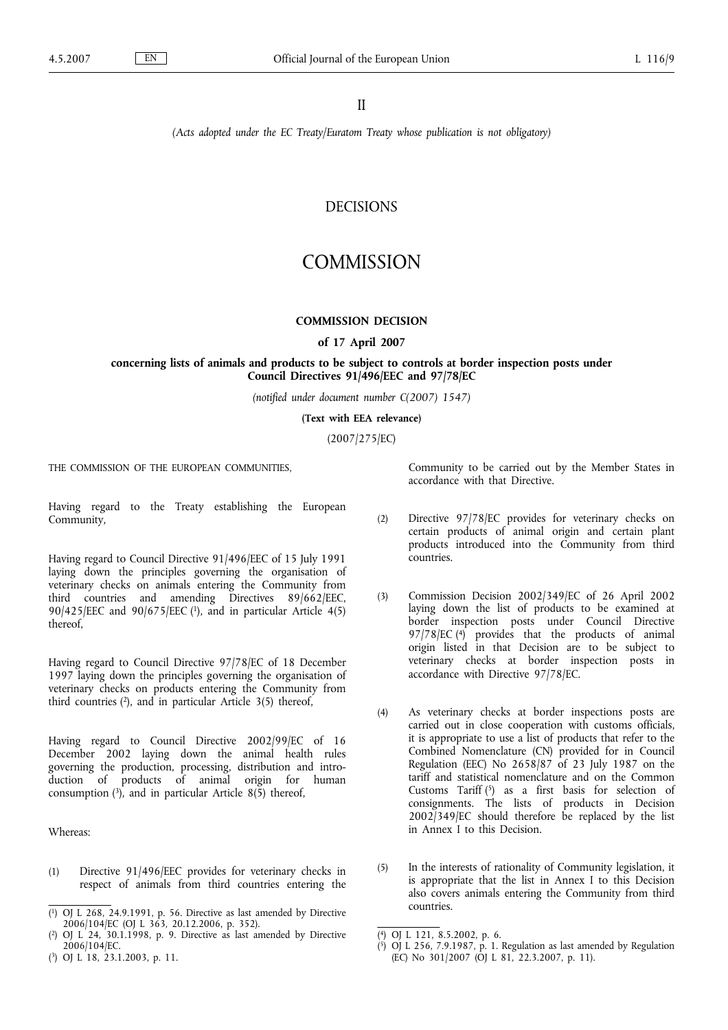*(Acts adopted under the EC Treaty/Euratom Treaty whose publication is not obligatory)*

# DECISIONS

# **COMMISSION**

## **COMMISSION DECISION**

#### **of 17 April 2007**

## **concerning lists of animals and products to be subject to controls at border inspection posts under Council Directives 91/496/EEC and 97/78/EC**

*(notified under document number C(2007) 1547)*

**(Text with EEA relevance)**

(2007/275/EC)

THE COMMISSION OF THE EUROPEAN COMMUNITIES,

Having regard to the Treaty establishing the European Community,

Having regard to Council Directive 91/496/EEC of 15 July 1991 laying down the principles governing the organisation of veterinary checks on animals entering the Community from third countries and amending Directives 89/662/EEC, 90/425/EEC and 90/675/EEC (1), and in particular Article 4(5) thereof,

Having regard to Council Directive 97/78/EC of 18 December 1997 laying down the principles governing the organisation of veterinary checks on products entering the Community from third countries  $(2)$ , and in particular Article  $3(5)$  thereof,

Having regard to Council Directive 2002/99/EC of 16 December 2002 laying down the animal health rules governing the production, processing, distribution and introduction of products of animal origin for human consumption  $(3)$ , and in particular Article 8(5) thereof,

Whereas:

(1) Directive 91/496/EEC provides for veterinary checks in respect of animals from third countries entering the

( 3) OJ L 18, 23.1.2003, p. 11.

Community to be carried out by the Member States in accordance with that Directive.

- (2) Directive 97/78/EC provides for veterinary checks on certain products of animal origin and certain plant products introduced into the Community from third countries.
- (3) Commission Decision 2002/349/EC of 26 April 2002 laying down the list of products to be examined at border inspection posts under Council Directive  $97/78/EC$  (4) provides that the products of animal origin listed in that Decision are to be subject to veterinary checks at border inspection posts in accordance with Directive 97/78/EC.
- (4) As veterinary checks at border inspections posts are carried out in close cooperation with customs officials, it is appropriate to use a list of products that refer to the Combined Nomenclature (CN) provided for in Council Regulation (EEC) No 2658/87 of 23 July 1987 on the tariff and statistical nomenclature and on the Common Customs Tariff  $(5)$  as a first basis for selection of consignments. The lists of products in Decision  $2002/349/EC$  should therefore be replaced by the list in Annex I to this Decision.
- (5) In the interests of rationality of Community legislation, it is appropriate that the list in Annex I to this Decision also covers animals entering the Community from third countries.

<sup>(</sup> 1) OJ L 268, 24.9.1991, p. 56. Directive as last amended by Directive 2006/104/EC (OJ L 363, 20.12.2006, p. 352).

<sup>(</sup> 2) OJ L 24, 30.1.1998, p. 9. Directive as last amended by Directive 2006/104/EC.

<sup>(</sup> 4) OJ L 121, 8.5.2002, p. 6.

<sup>(</sup> 5) OJ L 256, 7.9.1987, p. 1. Regulation as last amended by Regulation (EC) No  $301/2007$  (OJ L 81, 22.3.2007, p. 11).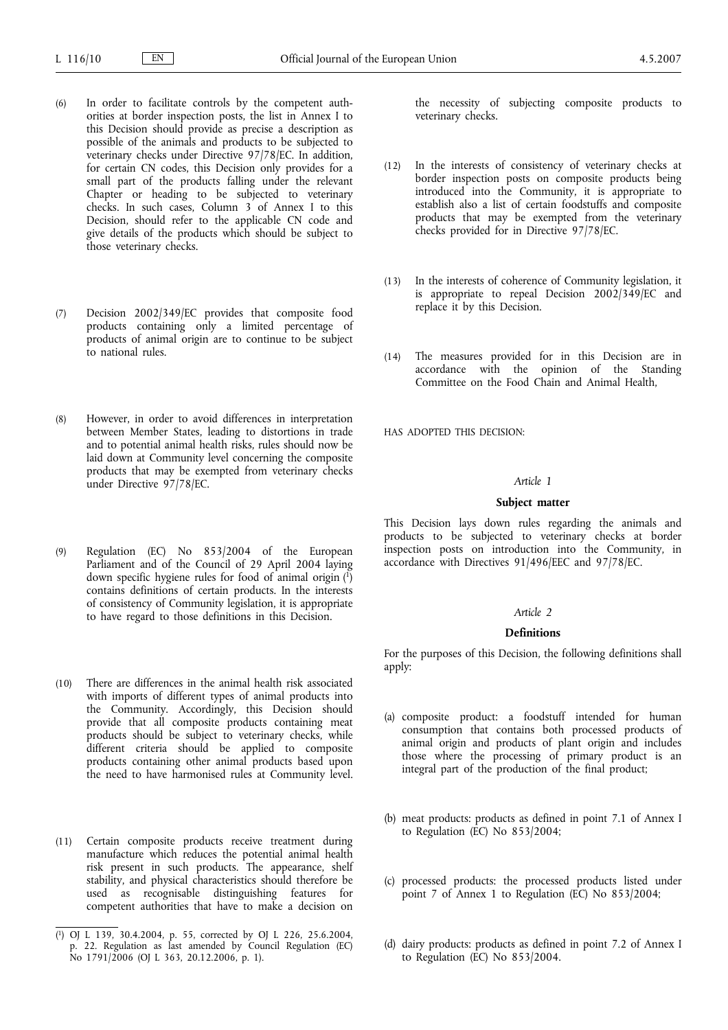- (6) In order to facilitate controls by the competent authorities at border inspection posts, the list in Annex I to this Decision should provide as precise a description as possible of the animals and products to be subjected to veterinary checks under Directive 97/78/EC. In addition, for certain CN codes, this Decision only provides for a small part of the products falling under the relevant Chapter or heading to be subjected to veterinary checks. In such cases, Column 3 of Annex I to this Decision, should refer to the applicable CN code and give details of the products which should be subject to those veterinary checks.
- (7) Decision 2002/349/EC provides that composite food products containing only a limited percentage of products of animal origin are to continue to be subject to national rules.
- (8) However, in order to avoid differences in interpretation between Member States, leading to distortions in trade and to potential animal health risks, rules should now be laid down at Community level concerning the composite products that may be exempted from veterinary checks under Directive 97/78/EC.
- (9) Regulation (EC) No 853/2004 of the European Parliament and of the Council of 29 April 2004 laying down specific hygiene rules for food of animal origin  $(1)$ contains definitions of certain products. In the interests of consistency of Community legislation, it is appropriate to have regard to those definitions in this Decision.
- (10) There are differences in the animal health risk associated with imports of different types of animal products into the Community. Accordingly, this Decision should provide that all composite products containing meat products should be subject to veterinary checks, while different criteria should be applied to composite products containing other animal products based upon the need to have harmonised rules at Community level.
- (11) Certain composite products receive treatment during manufacture which reduces the potential animal health risk present in such products. The appearance, shelf stability, and physical characteristics should therefore be used as recognisable distinguishing features for competent authorities that have to make a decision on

the necessity of subjecting composite products to veterinary checks.

- (12) In the interests of consistency of veterinary checks at border inspection posts on composite products being introduced into the Community, it is appropriate to establish also a list of certain foodstuffs and composite products that may be exempted from the veterinary checks provided for in Directive 97/78/EC.
- (13) In the interests of coherence of Community legislation, it is appropriate to repeal Decision  $2002/349/EC$  and replace it by this Decision.
- (14) The measures provided for in this Decision are in accordance with the opinion of the Standing Committee on the Food Chain and Animal Health,

HAS ADOPTED THIS DECISION:

## *Article 1*

#### **Subject matter**

This Decision lays down rules regarding the animals and products to be subjected to veterinary checks at border inspection posts on introduction into the Community, in accordance with Directives 91/496/EEC and 97/78/EC.

## *Article 2*

### **Definitions**

For the purposes of this Decision, the following definitions shall apply:

- (a) composite product: a foodstuff intended for human consumption that contains both processed products of animal origin and products of plant origin and includes those where the processing of primary product is an integral part of the production of the final product;
- (b) meat products: products as defined in point 7.1 of Annex I to Regulation (EC) No 853/2004;
- (c) processed products: the processed products listed under point 7 of Annex 1 to Regulation (EC) No 853/2004;
- (d) dairy products: products as defined in point 7.2 of Annex I to Regulation (EC) No 853/2004.

<sup>(</sup> 1) OJ L 139, 30.4.2004, p. 55, corrected by OJ L 226, 25.6.2004, p. 22. Regulation as last amended by Council Regulation (EC) No 1791/2006 (OJ L 363, 20.12.2006, p. 1).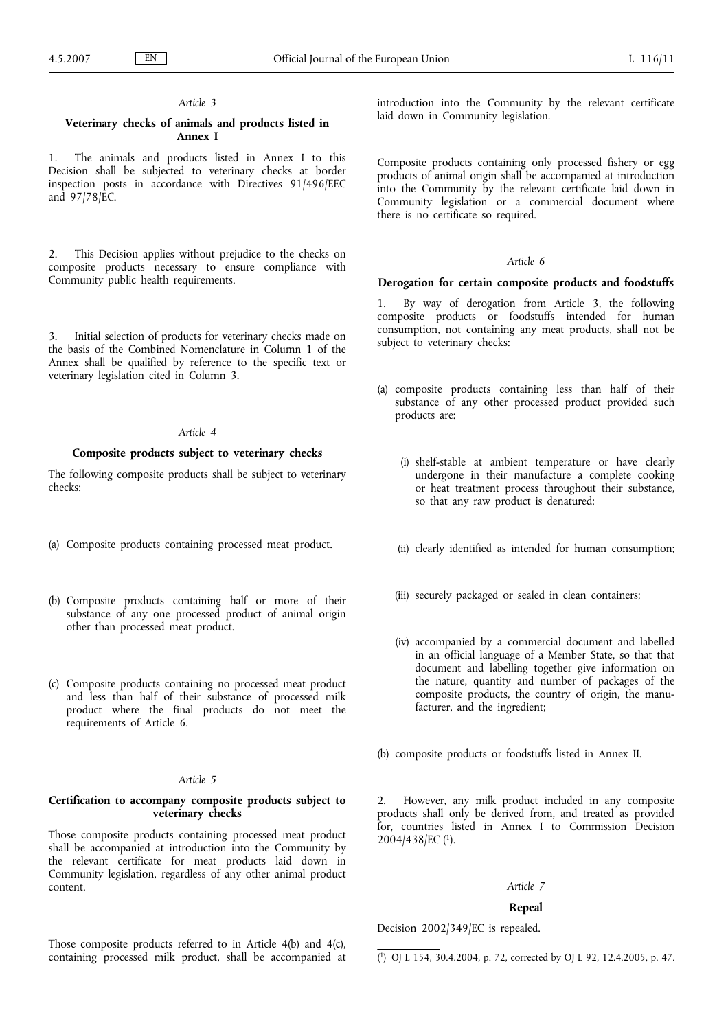## *Article 3*

# **Veterinary checks of animals and products listed in Annex I**

1. The animals and products listed in Annex I to this Decision shall be subjected to veterinary checks at border inspection posts in accordance with Directives 91/496/EEC and 97/78/EC.

2. This Decision applies without prejudice to the checks on composite products necessary to ensure compliance with Community public health requirements.

3. Initial selection of products for veterinary checks made on the basis of the Combined Nomenclature in Column 1 of the Annex shall be qualified by reference to the specific text or veterinary legislation cited in Column 3.

### *Article 4*

## **Composite products subject to veterinary checks**

The following composite products shall be subject to veterinary checks:

- (a) Composite products containing processed meat product.
- (b) Composite products containing half or more of their substance of any one processed product of animal origin other than processed meat product.
- (c) Composite products containing no processed meat product and less than half of their substance of processed milk product where the final products do not meet the requirements of Article 6.

## *Article 5*

## **Certification to accompany composite products subject to veterinary checks**

Those composite products containing processed meat product shall be accompanied at introduction into the Community by the relevant certificate for meat products laid down in Community legislation, regardless of any other animal product content.

introduction into the Community by the relevant certificate laid down in Community legislation.

Composite products containing only processed fishery or egg products of animal origin shall be accompanied at introduction into the Community by the relevant certificate laid down in Community legislation or a commercial document where there is no certificate so required.

# *Article 6*

#### **Derogation for certain composite products and foodstuffs**

1. By way of derogation from Article 3, the following composite products or foodstuffs intended for human consumption, not containing any meat products, shall not be subject to veterinary checks:

- (a) composite products containing less than half of their substance of any other processed product provided such products are:
	- (i) shelf-stable at ambient temperature or have clearly undergone in their manufacture a complete cooking or heat treatment process throughout their substance, so that any raw product is denatured;
	- (ii) clearly identified as intended for human consumption;
	- (iii) securely packaged or sealed in clean containers;
	- (iv) accompanied by a commercial document and labelled in an official language of a Member State, so that that document and labelling together give information on the nature, quantity and number of packages of the composite products, the country of origin, the manufacturer, and the ingredient;

(b) composite products or foodstuffs listed in Annex II.

2. However, any milk product included in any composite products shall only be derived from, and treated as provided for, countries listed in Annex I to Commission Decision 2004/438/EC (1).

## *Article 7*

#### **Repeal**

Decision 2002/349/EC is repealed.

Those composite products referred to in Article 4(b) and 4(c), containing processed milk product, shall be accompanied at

( 1) OJ L 154, 30.4.2004, p. 72, corrected by OJ L 92, 12.4.2005, p. 47.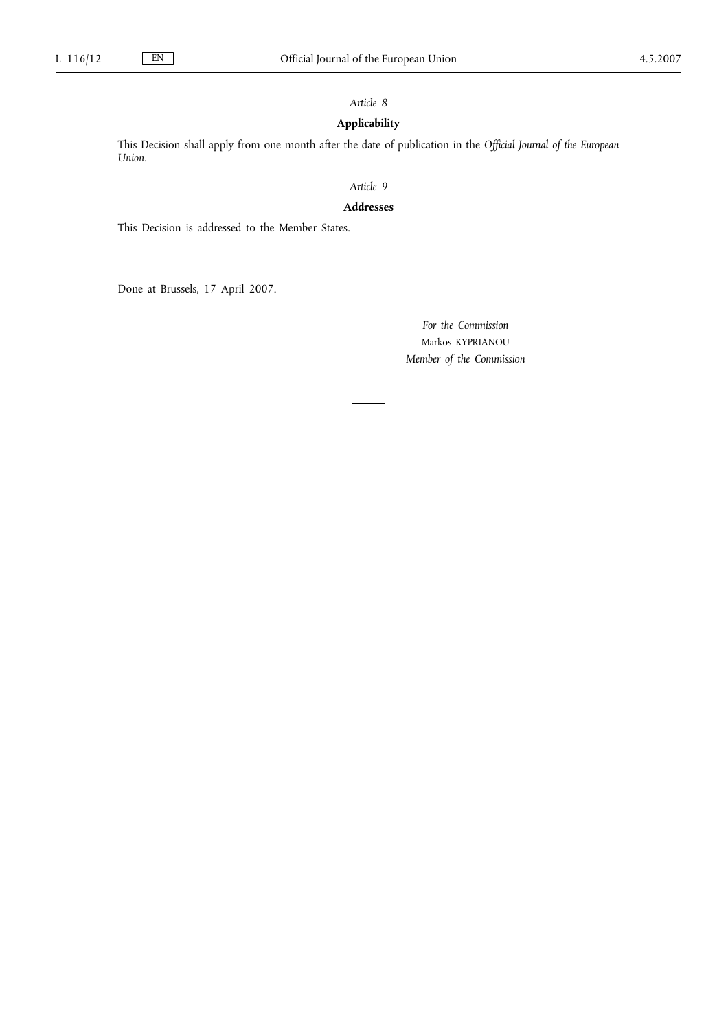# *Article 8*

# **Applicability**

This Decision shall apply from one month after the date of publication in the *Official Journal of the European Union*.

# *Article 9*

# **Addresses**

This Decision is addressed to the Member States.

Done at Brussels, 17 April 2007.

*For the Commission* Markos KYPRIANOU *Member of the Commission*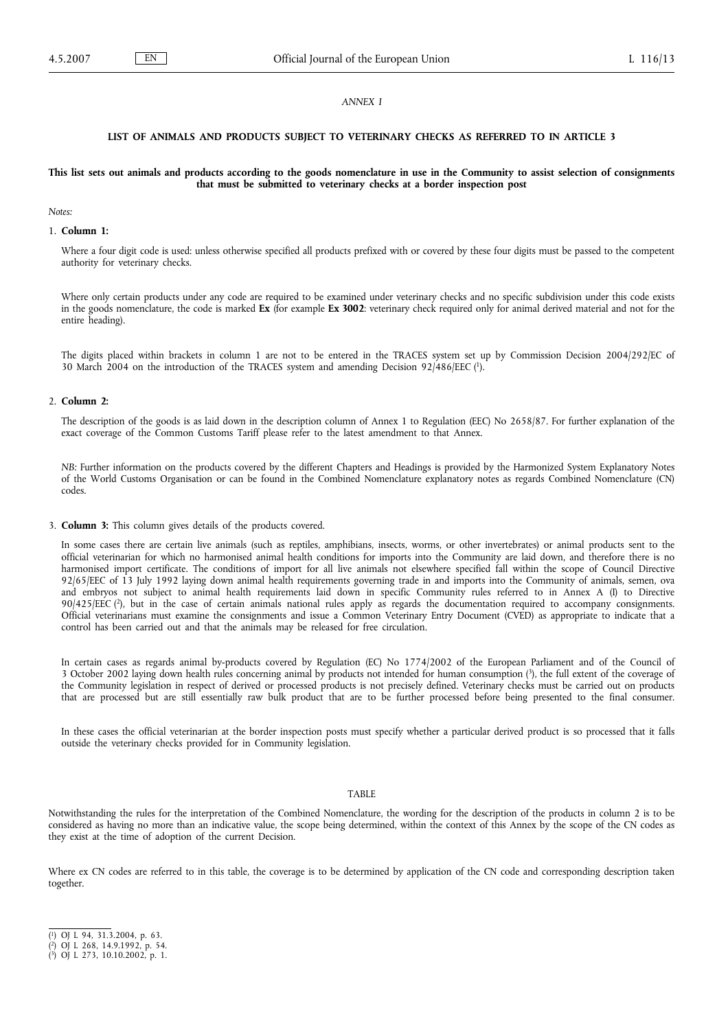#### *ANNEX I*

#### **LIST OF ANIMALS AND PRODUCTS SUBJECT TO VETERINARY CHECKS AS REFERRED TO IN ARTICLE 3**

#### **This list sets out animals and products according to the goods nomenclature in use in the Community to assist selection of consignments that must be submitted to veterinary checks at a border inspection post**

#### *Notes:*

#### 1. **Column 1:**

Where a four digit code is used: unless otherwise specified all products prefixed with or covered by these four digits must be passed to the competent authority for veterinary checks.

Where only certain products under any code are required to be examined under veterinary checks and no specific subdivision under this code exists in the goods nomenclature, the code is marked **Ex** (for example **Ex 3002**: veterinary check required only for animal derived material and not for the entire heading).

The digits placed within brackets in column 1 are not to be entered in the TRACES system set up by Commission Decision 2004/292/EC of 30 March 2004 on the introduction of the TRACES system and amending Decision 92/486/EEC (1).

#### 2. **Column 2:**

The description of the goods is as laid down in the description column of Annex 1 to Regulation (EEC) No 2658/87. For further explanation of the exact coverage of the Common Customs Tariff please refer to the latest amendment to that Annex.

*NB:* Further information on the products covered by the different Chapters and Headings is provided by the Harmonized System Explanatory Notes of the World Customs Organisation or can be found in the Combined Nomenclature explanatory notes as regards Combined Nomenclature (CN) codes.

3. **Column 3:** This column gives details of the products covered.

In some cases there are certain live animals (such as reptiles, amphibians, insects, worms, or other invertebrates) or animal products sent to the official veterinarian for which no harmonised animal health conditions for imports into the Community are laid down, and therefore there is no harmonised import certificate. The conditions of import for all live animals not elsewhere specified fall within the scope of Council Directive 92/65/EEC of 13 July 1992 laying down animal health requirements governing trade in and imports into the Community of animals, semen, ova and embryos not subject to animal health requirements laid down in specific Community rules referred to in Annex A (I) to Directive 90/425/EEC (2), but in the case of certain animals national rules apply as regards the documentation required to accompany consignments. Official veterinarians must examine the consignments and issue a Common Veterinary Entry Document (CVED) as appropriate to indicate that a control has been carried out and that the animals may be released for free circulation.

In certain cases as regards animal by-products covered by Regulation (EC) No 1774/2002 of the European Parliament and of the Council of 3 October 2002 laying down health rules concerning animal by products not intended for human consumption (3), the full extent of the coverage of the Community legislation in respect of derived or processed products is not precisely defined. Veterinary checks must be carried out on products that are processed but are still essentially raw bulk product that are to be further processed before being presented to the final consumer.

In these cases the official veterinarian at the border inspection posts must specify whether a particular derived product is so processed that it falls outside the veterinary checks provided for in Community legislation.

#### TABLE

Notwithstanding the rules for the interpretation of the Combined Nomenclature, the wording for the description of the products in column 2 is to be considered as having no more than an indicative value, the scope being determined, within the context of this Annex by the scope of the CN codes as they exist at the time of adoption of the current Decision.

Where ex CN codes are referred to in this table, the coverage is to be determined by application of the CN code and corresponding description taken together.

<sup>(</sup> 1) OJ L 94, 31.3.2004, p. 63.

<sup>(</sup> 2) OJ L 268, 14.9.1992, p. 54.

<sup>(</sup> 3) OJ L 273, 10.10.2002, p. 1.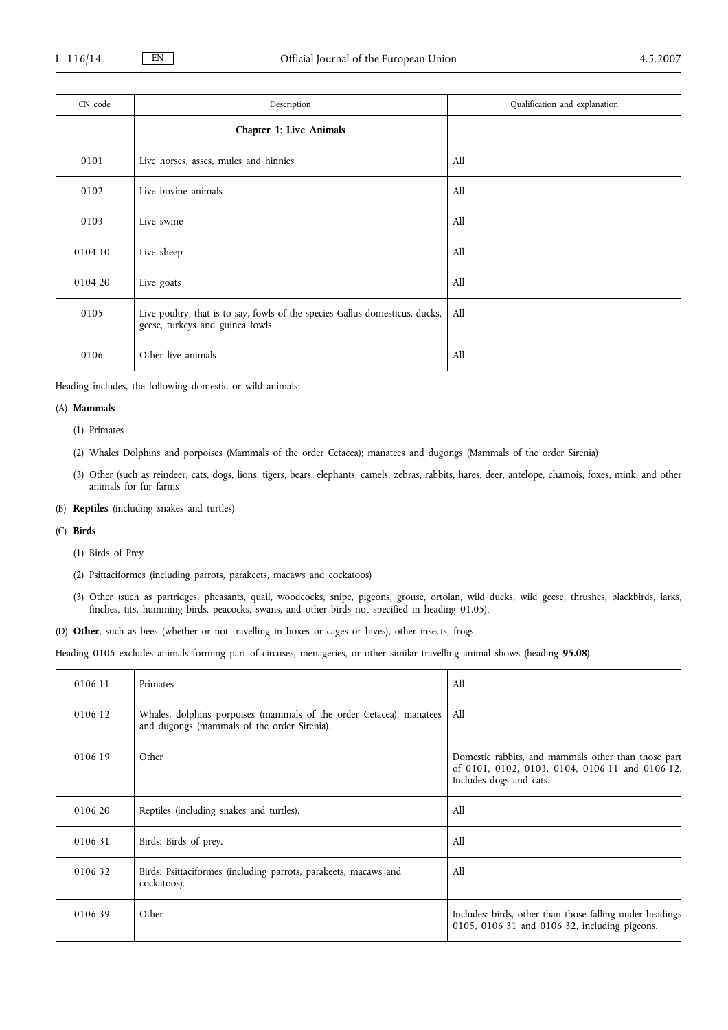| CN code | Description                                                                                                         | Qualification and explanation |
|---------|---------------------------------------------------------------------------------------------------------------------|-------------------------------|
|         | <b>Chapter 1: Live Animals</b>                                                                                      |                               |
| 0101    | Live horses, asses, mules and hinnies                                                                               | All                           |
| 0102    | Live bovine animals                                                                                                 | All                           |
| 0103    | Live swine                                                                                                          | All                           |
| 0104 10 | Live sheep                                                                                                          | All                           |
| 0104 20 | Live goats                                                                                                          | All                           |
| 0105    | Live poultry, that is to say, fowls of the species Gallus domesticus, ducks, All<br>geese, turkeys and guinea fowls |                               |
| 0106    | Other live animals                                                                                                  | All                           |

Heading includes, the following domestic or wild animals:

## (A) **Mammals**

- (1) Primates
- (2) Whales Dolphins and porpoises (Mammals of the order Cetacea); manatees and dugongs (Mammals of the order Sirenia)
- (3) Other (such as reindeer, cats, dogs, lions, tigers, bears, elephants, camels, zebras, rabbits, hares, deer, antelope, chamois, foxes, mink, and other animals for fur farms
- (B) **Reptiles** (including snakes and turtles)
- (C) **Birds**
	- (1) Birds of Prey
	- (2) Psittaciformes (including parrots, parakeets, macaws and cockatoos)
	- (3) Other (such as partridges, pheasants, quail, woodcocks, snipe, pigeons, grouse, ortolan, wild ducks, wild geese, thrushes, blackbirds, larks, finches, tits, humming birds, peacocks, swans, and other birds not specified in heading 01.05).
- (D) **Other**, such as bees (whether or not travelling in boxes or cages or hives), other insects, frogs.

Heading 0106 excludes animals forming part of circuses, menageries, or other similar travelling animal shows (heading **95.08**)

| 0106 11 | Primates                                                                                                           | A11                                                                                                                               |
|---------|--------------------------------------------------------------------------------------------------------------------|-----------------------------------------------------------------------------------------------------------------------------------|
| 0106 12 | Whales, dolphins porpoises (mammals of the order Cetacea); manatees<br>and dugongs (mammals of the order Sirenia). | All                                                                                                                               |
| 0106 19 | Other                                                                                                              | Domestic rabbits, and mammals other than those part<br>of 0101, 0102, 0103, 0104, 0106 11 and 0106 12.<br>Includes dogs and cats. |
| 0106 20 | Reptiles (including snakes and turtles).                                                                           | All                                                                                                                               |
| 010631  | Birds: Birds of prey.                                                                                              | All                                                                                                                               |
| 010632  | Birds: Psittaciformes (including parrots, parakeets, macaws and<br>cockatoos).                                     | All                                                                                                                               |
| 010639  | Other                                                                                                              | Includes: birds, other than those falling under headings<br>0105, 0106 31 and 0106 32, including pigeons.                         |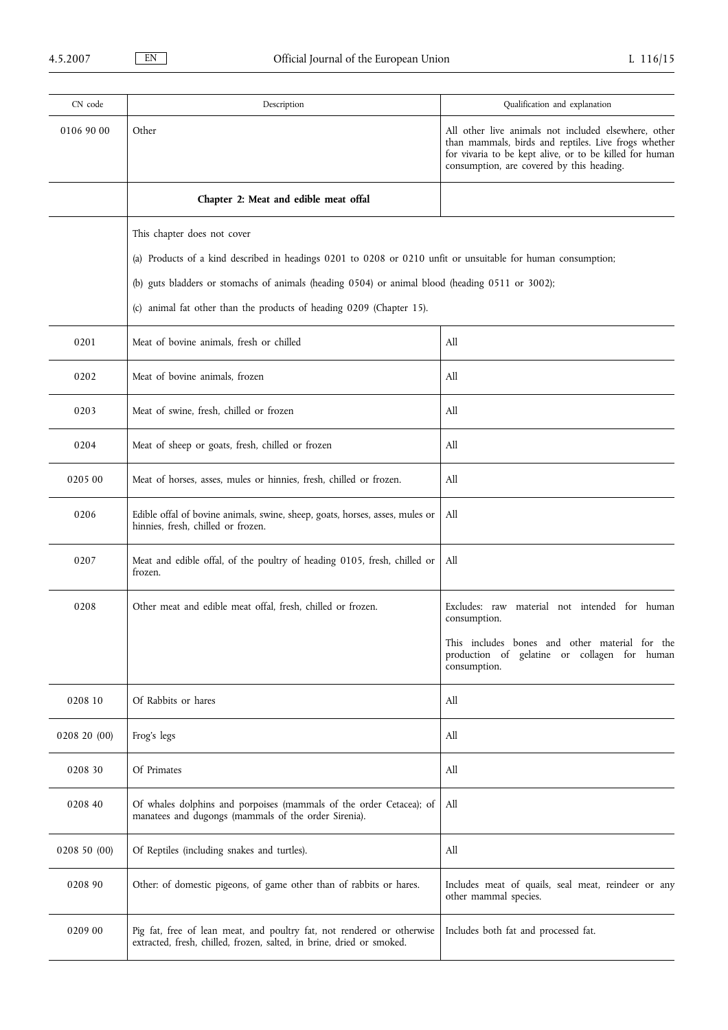| CN code      | Description                                                                                                                                     | Qualification and explanation                                                                                                                                                                                        |
|--------------|-------------------------------------------------------------------------------------------------------------------------------------------------|----------------------------------------------------------------------------------------------------------------------------------------------------------------------------------------------------------------------|
| 0106 90 00   | Other                                                                                                                                           | All other live animals not included elsewhere, other<br>than mammals, birds and reptiles. Live frogs whether<br>for vivaria to be kept alive, or to be killed for human<br>consumption, are covered by this heading. |
|              | Chapter 2: Meat and edible meat offal                                                                                                           |                                                                                                                                                                                                                      |
|              | This chapter does not cover                                                                                                                     |                                                                                                                                                                                                                      |
|              | (a) Products of a kind described in headings 0201 to 0208 or 0210 unfit or unsuitable for human consumption;                                    |                                                                                                                                                                                                                      |
|              | (b) guts bladders or stomachs of animals (heading 0504) or animal blood (heading 0511 or 3002);                                                 |                                                                                                                                                                                                                      |
|              | (c) animal fat other than the products of heading 0209 (Chapter 15).                                                                            |                                                                                                                                                                                                                      |
| 0201         | Meat of bovine animals, fresh or chilled                                                                                                        | All                                                                                                                                                                                                                  |
| 0202         | Meat of bovine animals, frozen                                                                                                                  | All                                                                                                                                                                                                                  |
| 0203         | Meat of swine, fresh, chilled or frozen                                                                                                         | All                                                                                                                                                                                                                  |
| 0204         | Meat of sheep or goats, fresh, chilled or frozen                                                                                                | All                                                                                                                                                                                                                  |
| 0205 00      | Meat of horses, asses, mules or hinnies, fresh, chilled or frozen.                                                                              | All                                                                                                                                                                                                                  |
| 0206         | Edible offal of bovine animals, swine, sheep, goats, horses, asses, mules or<br>hinnies, fresh, chilled or frozen.                              | All                                                                                                                                                                                                                  |
| 0207         | Meat and edible offal, of the poultry of heading 0105, fresh, chilled or<br>frozen.                                                             | All                                                                                                                                                                                                                  |
| 0208         | Other meat and edible meat offal, fresh, chilled or frozen.                                                                                     | Excludes: raw<br>material not intended for human<br>consumption.                                                                                                                                                     |
|              |                                                                                                                                                 | This includes bones and other material for the<br>production of gelatine or collagen for human<br>consumption.                                                                                                       |
| 0208 10      | Of Rabbits or hares                                                                                                                             | All                                                                                                                                                                                                                  |
| 0208 20 (00) | Frog's legs                                                                                                                                     | All                                                                                                                                                                                                                  |
| 0208 30      | Of Primates                                                                                                                                     | All                                                                                                                                                                                                                  |
| 0208 40      | Of whales dolphins and porpoises (mammals of the order Cetacea); of<br>manatees and dugongs (mammals of the order Sirenia).                     | All                                                                                                                                                                                                                  |
| 0208 50 (00) | Of Reptiles (including snakes and turtles).                                                                                                     | All                                                                                                                                                                                                                  |
| 0208 90      | Other: of domestic pigeons, of game other than of rabbits or hares.                                                                             | Includes meat of quails, seal meat, reindeer or any<br>other mammal species.                                                                                                                                         |
| 0209 00      | Pig fat, free of lean meat, and poultry fat, not rendered or otherwise<br>extracted, fresh, chilled, frozen, salted, in brine, dried or smoked. | Includes both fat and processed fat.                                                                                                                                                                                 |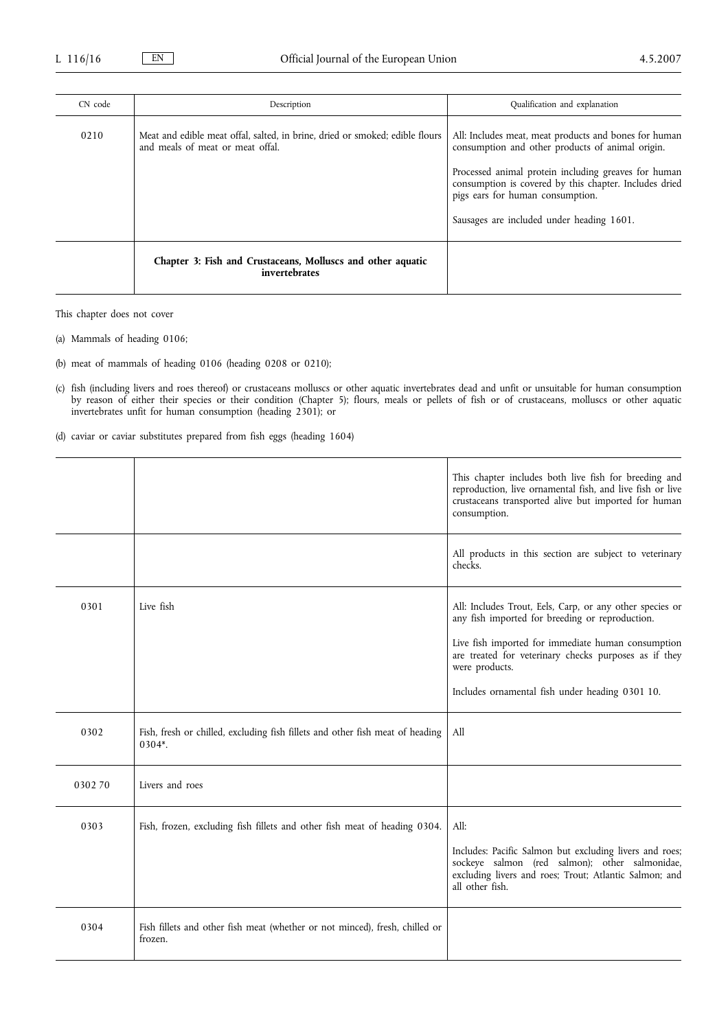| CN code | Description                                                                                                      | Qualification and explanation                                                                                                                                                                                                                                                                                |
|---------|------------------------------------------------------------------------------------------------------------------|--------------------------------------------------------------------------------------------------------------------------------------------------------------------------------------------------------------------------------------------------------------------------------------------------------------|
| 0210    | Meat and edible meat offal, salted, in brine, dried or smoked; edible flours<br>and meals of meat or meat offal. | All: Includes meat, meat products and bones for human<br>consumption and other products of animal origin.<br>Processed animal protein including greaves for human<br>consumption is covered by this chapter. Includes dried<br>pigs ears for human consumption.<br>Sausages are included under heading 1601. |
|         | Chapter 3: Fish and Crustaceans, Molluscs and other aquatic<br>invertebrates                                     |                                                                                                                                                                                                                                                                                                              |

This chapter does not cover

- (a) Mammals of heading 0106;
- (b) meat of mammals of heading 0106 (heading 0208 or 0210);
- (c) fish (including livers and roes thereof) or crustaceans molluscs or other aquatic invertebrates dead and unfit or unsuitable for human consumption by reason of either their species or their condition (Chapter 5); flours, meals or pellets of fish or of crustaceans, molluscs or other aquatic invertebrates unfit for human consumption (heading 2301); or

(d) caviar or caviar substitutes prepared from fish eggs (heading 1604)

|        |                                                                                         | This chapter includes both live fish for breeding and<br>reproduction, live ornamental fish, and live fish or live<br>crustaceans transported alive but imported for human<br>consumption.                                                                                                      |
|--------|-----------------------------------------------------------------------------------------|-------------------------------------------------------------------------------------------------------------------------------------------------------------------------------------------------------------------------------------------------------------------------------------------------|
|        |                                                                                         | All products in this section are subject to veterinary<br>checks.                                                                                                                                                                                                                               |
| 0301   | Live fish                                                                               | All: Includes Trout, Eels, Carp, or any other species or<br>any fish imported for breeding or reproduction.<br>Live fish imported for immediate human consumption<br>are treated for veterinary checks purposes as if they<br>were products.<br>Includes ornamental fish under heading 0301 10. |
| 0302   | Fish, fresh or chilled, excluding fish fillets and other fish meat of heading<br>0304*. | All                                                                                                                                                                                                                                                                                             |
| 030270 | Livers and roes                                                                         |                                                                                                                                                                                                                                                                                                 |
| 0303   | Fish, frozen, excluding fish fillets and other fish meat of heading 0304.               | All:<br>Includes: Pacific Salmon but excluding livers and roes;<br>sockeye salmon (red salmon); other salmonidae,<br>excluding livers and roes; Trout; Atlantic Salmon; and<br>all other fish.                                                                                                  |
| 0304   | Fish fillets and other fish meat (whether or not minced), fresh, chilled or<br>frozen.  |                                                                                                                                                                                                                                                                                                 |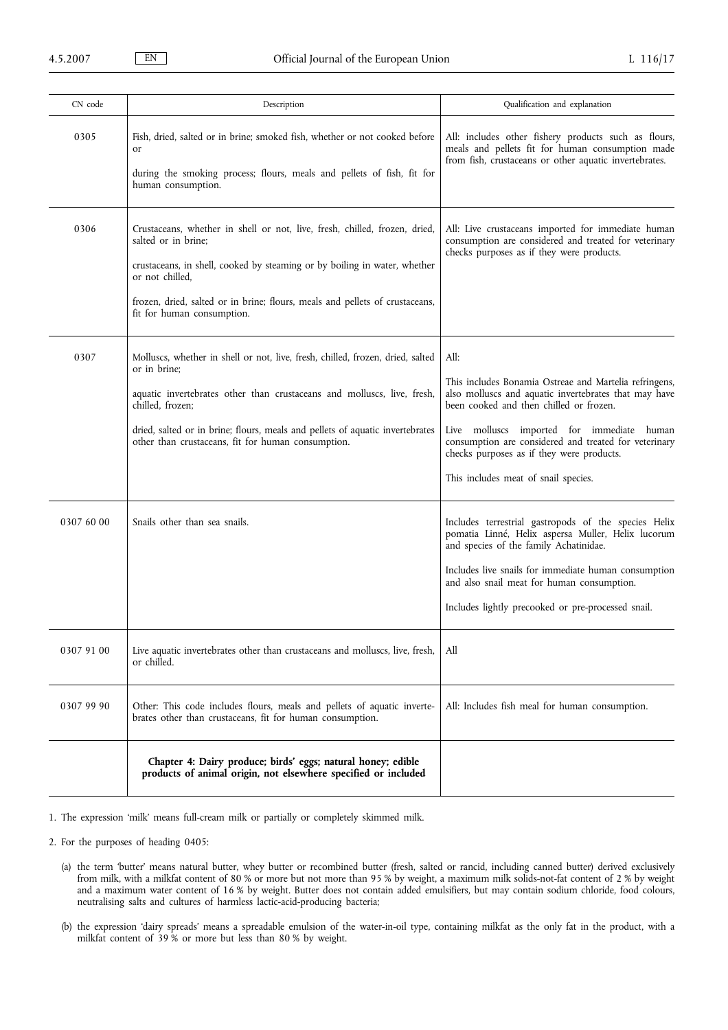| CN code    | Description                                                                                                                                                                                                                                                                                                                          | Qualification and explanation                                                                                                                                                                                                                                                                                                                                  |
|------------|--------------------------------------------------------------------------------------------------------------------------------------------------------------------------------------------------------------------------------------------------------------------------------------------------------------------------------------|----------------------------------------------------------------------------------------------------------------------------------------------------------------------------------------------------------------------------------------------------------------------------------------------------------------------------------------------------------------|
| 0305       | Fish, dried, salted or in brine; smoked fish, whether or not cooked before<br><sub>or</sub><br>during the smoking process; flours, meals and pellets of fish, fit for<br>human consumption.                                                                                                                                          | All: includes other fishery products such as flours,<br>meals and pellets fit for human consumption made<br>from fish, crustaceans or other aquatic invertebrates.                                                                                                                                                                                             |
| 0306       | Crustaceans, whether in shell or not, live, fresh, chilled, frozen, dried,<br>salted or in brine;<br>crustaceans, in shell, cooked by steaming or by boiling in water, whether<br>or not chilled.<br>frozen, dried, salted or in brine; flours, meals and pellets of crustaceans,<br>fit for human consumption.                      | All: Live crustaceans imported for immediate human<br>consumption are considered and treated for veterinary<br>checks purposes as if they were products.                                                                                                                                                                                                       |
| 0307       | Molluscs, whether in shell or not, live, fresh, chilled, frozen, dried, salted<br>or in brine;<br>aquatic invertebrates other than crustaceans and molluscs, live, fresh,<br>chilled, frozen;<br>dried, salted or in brine; flours, meals and pellets of aquatic invertebrates<br>other than crustaceans, fit for human consumption. | All:<br>This includes Bonamia Ostreae and Martelia refringens,<br>also molluscs and aquatic invertebrates that may have<br>been cooked and then chilled or frozen.<br>Live molluscs imported for immediate human<br>consumption are considered and treated for veterinary<br>checks purposes as if they were products.<br>This includes meat of snail species. |
| 0307 60 00 | Snails other than sea snails.                                                                                                                                                                                                                                                                                                        | Includes terrestrial gastropods of the species Helix<br>pomatia Linné, Helix aspersa Muller, Helix lucorum<br>and species of the family Achatinidae.<br>Includes live snails for immediate human consumption<br>and also snail meat for human consumption.<br>Includes lightly precooked or pre-processed snail.                                               |
| 0307 91 00 | Live aquatic invertebrates other than crustaceans and molluscs, live, fresh,<br>or chilled.                                                                                                                                                                                                                                          | All                                                                                                                                                                                                                                                                                                                                                            |
| 0307 99 90 | Other: This code includes flours, meals and pellets of aquatic inverte-<br>brates other than crustaceans, fit for human consumption.                                                                                                                                                                                                 | All: Includes fish meal for human consumption.                                                                                                                                                                                                                                                                                                                 |
|            | Chapter 4: Dairy produce; birds' eggs; natural honey; edible<br>products of animal origin, not elsewhere specified or included                                                                                                                                                                                                       |                                                                                                                                                                                                                                                                                                                                                                |

- 1. The expression 'milk' means full-cream milk or partially or completely skimmed milk.
- 2. For the purposes of heading 0405:
	- (a) the term 'butter' means natural butter, whey butter or recombined butter (fresh, salted or rancid, including canned butter) derived exclusively from milk, with a milkfat content of 80 % or more but not more than 95 % by weight, a maximum milk solids-not-fat content of 2 % by weight and a maximum water content of 16 % by weight. Butter does not contain added emulsifiers, but may contain sodium chloride, food colours, neutralising salts and cultures of harmless lactic-acid-producing bacteria;
	- (b) the expression 'dairy spreads' means a spreadable emulsion of the water-in-oil type, containing milkfat as the only fat in the product, with a milkfat content of 39 % or more but less than 80 % by weight.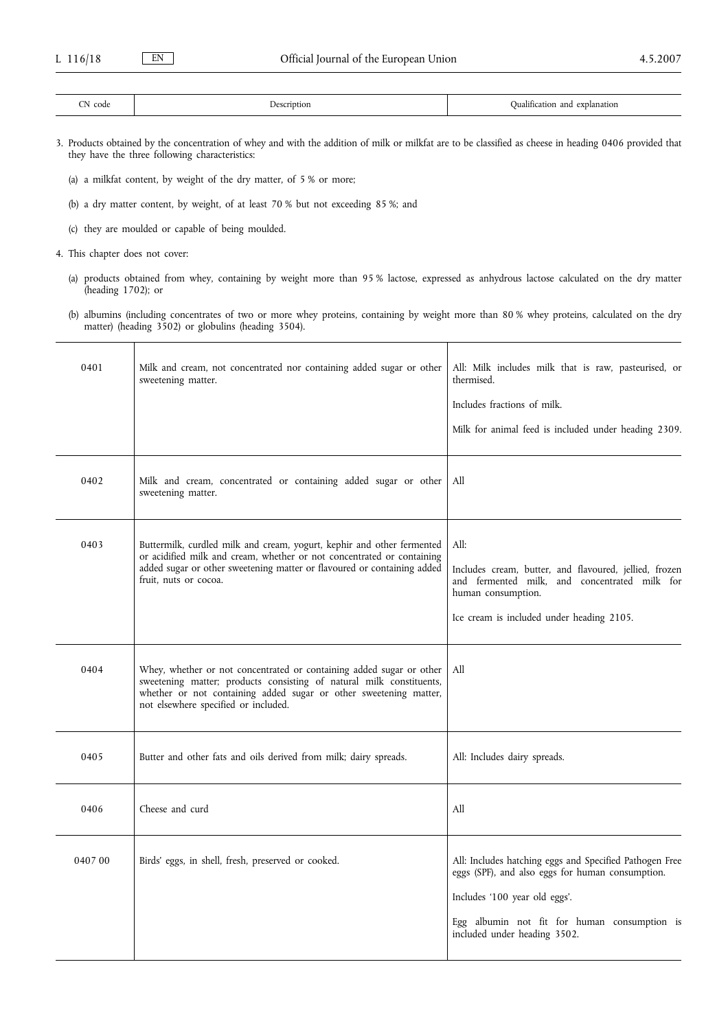3. Products obtained by the concentration of whey and with the addition of milk or milkfat are to be classified as cheese in heading 0406 provided that they have the three following characteristics:

- (a) a milkfat content, by weight of the dry matter, of 5 % or more;
- (b) a dry matter content, by weight, of at least 70 % but not exceeding 85 %; and
- (c) they are moulded or capable of being moulded.
- 4. This chapter does not cover:
	- (a) products obtained from whey, containing by weight more than 95 % lactose, expressed as anhydrous lactose calculated on the dry matter (heading 1702); or
	- (b) albumins (including concentrates of two or more whey proteins, containing by weight more than 80 % whey proteins, calculated on the dry matter) (heading 3502) or globulins (heading 3504).

| 0401   | Milk and cream, not concentrated nor containing added sugar or other<br>sweetening matter.                                                                                                                                                                | All: Milk includes milk that is raw, pasteurised, or<br>thermised.<br>Includes fractions of milk.<br>Milk for animal feed is included under heading 2309.                                                                    |
|--------|-----------------------------------------------------------------------------------------------------------------------------------------------------------------------------------------------------------------------------------------------------------|------------------------------------------------------------------------------------------------------------------------------------------------------------------------------------------------------------------------------|
| 0402   | Milk and cream, concentrated or containing added sugar or other<br>sweetening matter.                                                                                                                                                                     | All                                                                                                                                                                                                                          |
| 0403   | Buttermilk, curdled milk and cream, yogurt, kephir and other fermented<br>or acidified milk and cream, whether or not concentrated or containing<br>added sugar or other sweetening matter or flavoured or containing added<br>fruit, nuts or cocoa.      | All:<br>Includes cream, butter, and flavoured, jellied, frozen<br>and fermented milk, and concentrated milk for<br>human consumption.<br>Ice cream is included under heading 2105.                                           |
| 0404   | Whey, whether or not concentrated or containing added sugar or other<br>sweetening matter; products consisting of natural milk constituents,<br>whether or not containing added sugar or other sweetening matter,<br>not elsewhere specified or included. | All                                                                                                                                                                                                                          |
| 0405   | Butter and other fats and oils derived from milk; dairy spreads.                                                                                                                                                                                          | All: Includes dairy spreads.                                                                                                                                                                                                 |
| 0406   | Cheese and curd                                                                                                                                                                                                                                           | All                                                                                                                                                                                                                          |
| 040700 | Birds' eggs, in shell, fresh, preserved or cooked.                                                                                                                                                                                                        | All: Includes hatching eggs and Specified Pathogen Free<br>eggs (SPF), and also eggs for human consumption.<br>Includes '100 year old eggs'.<br>Egg albumin not fit for human consumption is<br>included under heading 3502. |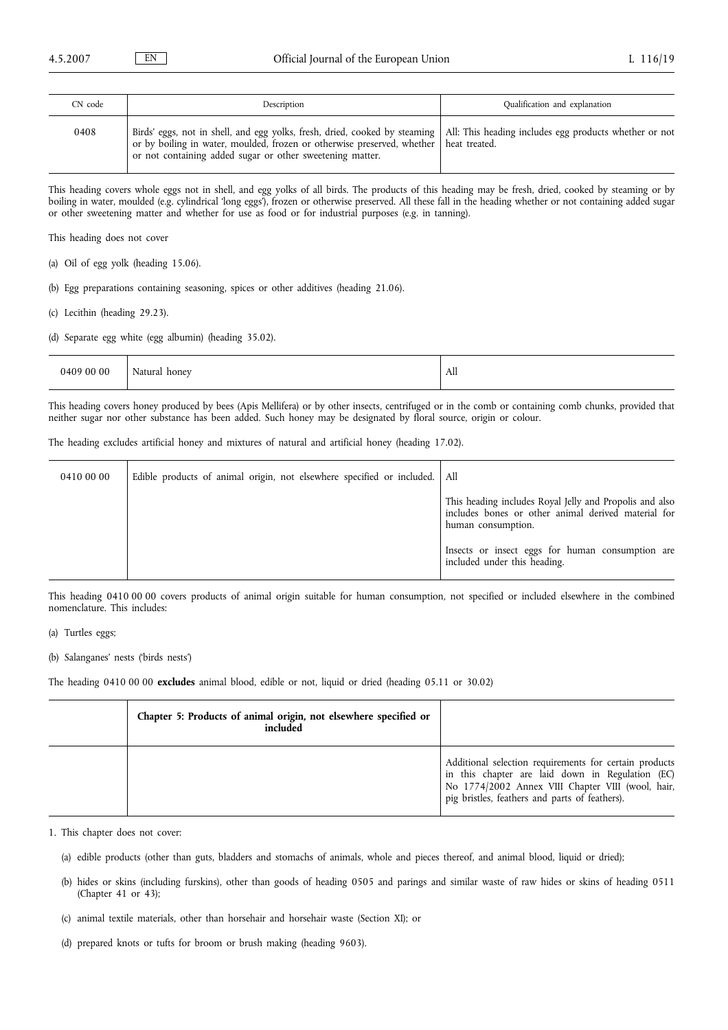| CN code | Description                                                                                                                                                                                                                                                                               | Qualification and explanation |
|---------|-------------------------------------------------------------------------------------------------------------------------------------------------------------------------------------------------------------------------------------------------------------------------------------------|-------------------------------|
| 0408    | Birds' eggs, not in shell, and egg yolks, fresh, dried, cooked by steaming   All: This heading includes egg products whether or not<br>or by boiling in water, moulded, frozen or otherwise preserved, whether heat treated.<br>or not containing added sugar or other sweetening matter. |                               |

This heading covers whole eggs not in shell, and egg yolks of all birds. The products of this heading may be fresh, dried, cooked by steaming or by boiling in water, moulded (e.g. cylindrical 'long eggs'), frozen or otherwise preserved. All these fall in the heading whether or not containing added sugar or other sweetening matter and whether for use as food or for industrial purposes (e.g. in tanning).

This heading does not cover

- (a) Oil of egg yolk (heading 15.06).
- (b) Egg preparations containing seasoning, spices or other additives (heading 21.06).
- (c) Lecithin (heading 29.23).
- (d) Separate egg white (egg albumin) (heading 35.02).

| 0409 00 00 | Natural honey | All |
|------------|---------------|-----|
|------------|---------------|-----|

This heading covers honey produced by bees (Apis Mellifera) or by other insects, centrifuged or in the comb or containing comb chunks, provided that neither sugar nor other substance has been added. Such honey may be designated by floral source, origin or colour.

The heading excludes artificial honey and mixtures of natural and artificial honey (heading 17.02).

| 0410 00 00 | Edible products of animal origin, not elsewhere specified or included. All |                                                                                                                                      |
|------------|----------------------------------------------------------------------------|--------------------------------------------------------------------------------------------------------------------------------------|
|            |                                                                            | This heading includes Royal Jelly and Propolis and also<br>includes bones or other animal derived material for<br>human consumption. |
|            |                                                                            | Insects or insect eggs for human consumption are<br>included under this heading.                                                     |

This heading 0410 00 00 covers products of animal origin suitable for human consumption, not specified or included elsewhere in the combined nomenclature. This includes:

(a) Turtles eggs;

(b) Salanganes' nests ('birds nests')

The heading 0410 00 00 **excludes** animal blood, edible or not, liquid or dried (heading 05.11 or 30.02)

| Chapter 5: Products of animal origin, not elsewhere specified or<br>included |                                                                                                                                                                                                                   |
|------------------------------------------------------------------------------|-------------------------------------------------------------------------------------------------------------------------------------------------------------------------------------------------------------------|
|                                                                              | Additional selection requirements for certain products<br>in this chapter are laid down in Regulation (EC)<br>No 1774/2002 Annex VIII Chapter VIII (wool, hair,<br>pig bristles, feathers and parts of feathers). |

1. This chapter does not cover:

- (a) edible products (other than guts, bladders and stomachs of animals, whole and pieces thereof, and animal blood, liquid or dried);
- (b) hides or skins (including furskins), other than goods of heading 0505 and parings and similar waste of raw hides or skins of heading 0511 (Chapter 41 or 43);
- (c) animal textile materials, other than horsehair and horsehair waste (Section XI); or
- (d) prepared knots or tufts for broom or brush making (heading 9603).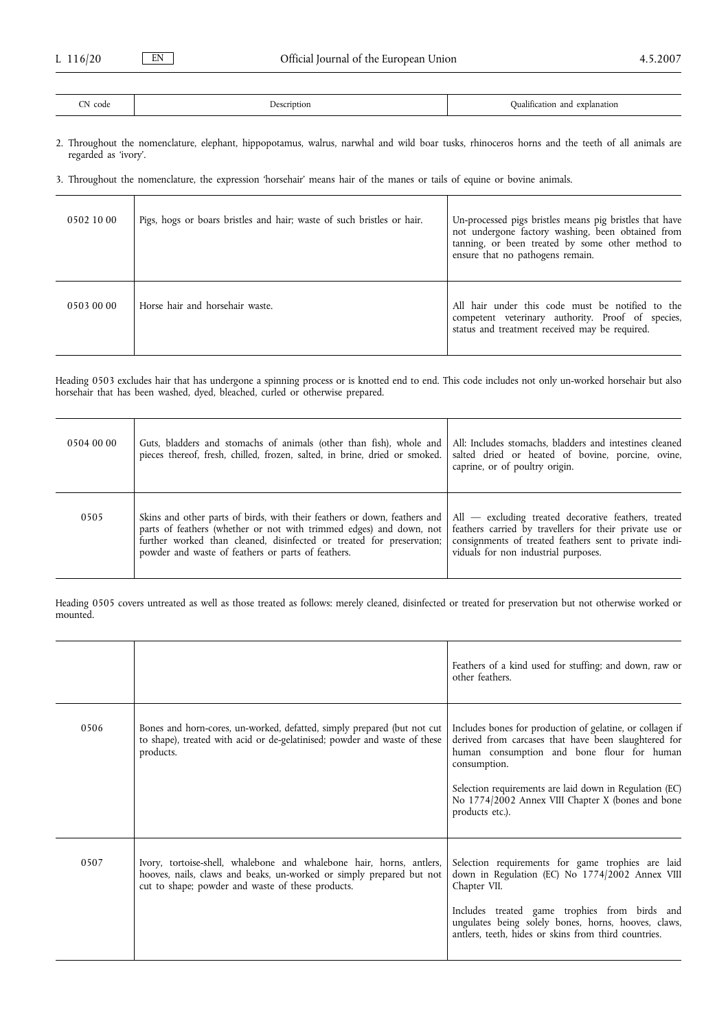| <b>CONTRACTOR</b><br>code<br>. | 'rıntıon<br>. .<br>the contract of the contract of the | 1.7<br>explanation<br>Jualification<br>and |
|--------------------------------|--------------------------------------------------------|--------------------------------------------|

2. Throughout the nomenclature, elephant, hippopotamus, walrus, narwhal and wild boar tusks, rhinoceros horns and the teeth of all animals are regarded as 'ivory'.

3. Throughout the nomenclature, the expression 'horsehair' means hair of the manes or tails of equine or bovine animals.

| 0502 10 00 | Pigs, hogs or boars bristles and hair; waste of such bristles or hair. | Un-processed pigs bristles means pig bristles that have<br>not undergone factory washing, been obtained from<br>tanning, or been treated by some other method to<br>ensure that no pathogens remain. |
|------------|------------------------------------------------------------------------|------------------------------------------------------------------------------------------------------------------------------------------------------------------------------------------------------|
| 0503 00 00 | Horse hair and horsehair waste.                                        | All hair under this code must be notified to the<br>competent veterinary authority. Proof of species,<br>status and treatment received may be required.                                              |

Heading 0503 excludes hair that has undergone a spinning process or is knotted end to end. This code includes not only un-worked horsehair but also horsehair that has been washed, dyed, bleached, curled or otherwise prepared.

| 0504 00 00 | Guts, bladders and stomachs of animals (other than fish), whole and<br>pieces thereof, fresh, chilled, frozen, salted, in brine, dried or smoked.                                                                                                                               | All: Includes stomachs, bladders and intestines cleaned<br>salted dried or heated of bovine, porcine, ovine,<br>caprine, or of poultry origin.                                                                      |
|------------|---------------------------------------------------------------------------------------------------------------------------------------------------------------------------------------------------------------------------------------------------------------------------------|---------------------------------------------------------------------------------------------------------------------------------------------------------------------------------------------------------------------|
| 0505       | Skins and other parts of birds, with their feathers or down, feathers and<br>parts of feathers (whether or not with trimmed edges) and down, not<br>further worked than cleaned, disinfected or treated for preservation;<br>powder and waste of feathers or parts of feathers. | $All$ - excluding treated decorative feathers, treated<br>feathers carried by travellers for their private use or<br>consignments of treated feathers sent to private indi-<br>viduals for non industrial purposes. |

Heading 0505 covers untreated as well as those treated as follows: merely cleaned, disinfected or treated for preservation but not otherwise worked or mounted.

|      |                                                                                                                                                                                                   | Feathers of a kind used for stuffing; and down, raw or<br>other feathers.                                                                                                                                                                                                                                          |
|------|---------------------------------------------------------------------------------------------------------------------------------------------------------------------------------------------------|--------------------------------------------------------------------------------------------------------------------------------------------------------------------------------------------------------------------------------------------------------------------------------------------------------------------|
| 0506 | Bones and horn-cores, un-worked, defatted, simply prepared (but not cut)<br>to shape), treated with acid or de-gelatinised; powder and waste of these<br>products.                                | Includes bones for production of gelatine, or collagen if<br>derived from carcases that have been slaughtered for<br>human consumption and bone flour for human<br>consumption.<br>Selection requirements are laid down in Regulation (EC)<br>No 1774/2002 Annex VIII Chapter X (bones and bone<br>products etc.). |
| 0507 | Ivory, tortoise-shell, whalebone and whalebone hair, horns, antlers,<br>hooves, nails, claws and beaks, un-worked or simply prepared but not<br>cut to shape; powder and waste of these products. | Selection requirements for game trophies are laid<br>down in Regulation (EC) No 1774/2002 Annex VIII<br>Chapter VII.<br>Includes treated game trophies from birds and<br>ungulates being solely bones, horns, hooves, claws,<br>antlers, teeth, hides or skins from third countries.                               |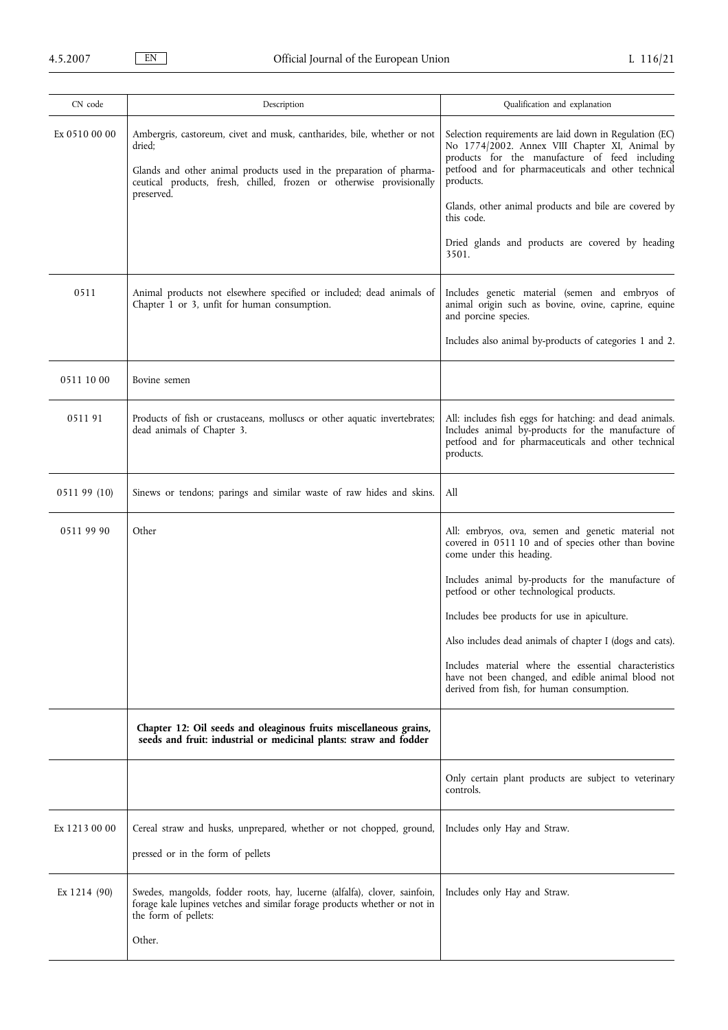| CN code       | Description                                                                                                                                                                                                                      | Qualification and explanation                                                                                                                                                                                                   |
|---------------|----------------------------------------------------------------------------------------------------------------------------------------------------------------------------------------------------------------------------------|---------------------------------------------------------------------------------------------------------------------------------------------------------------------------------------------------------------------------------|
| Ex 0510 00 00 | Ambergris, castoreum, civet and musk, cantharides, bile, whether or not<br>dried:<br>Glands and other animal products used in the preparation of pharma-<br>ceutical products, fresh, chilled, frozen or otherwise provisionally | Selection requirements are laid down in Regulation (EC)<br>No 1774/2002. Annex VIII Chapter XI, Animal by<br>products for the manufacture of feed including<br>petfood and for pharmaceuticals and other technical<br>products. |
|               | preserved.                                                                                                                                                                                                                       | Glands, other animal products and bile are covered by<br>this code.                                                                                                                                                             |
|               |                                                                                                                                                                                                                                  | Dried glands and products are covered by heading<br>3501.                                                                                                                                                                       |
| 0511          | Animal products not elsewhere specified or included; dead animals of<br>Chapter 1 or 3, unfit for human consumption.                                                                                                             | Includes genetic material (semen and embryos of<br>animal origin such as bovine, ovine, caprine, equine<br>and porcine species.                                                                                                 |
|               |                                                                                                                                                                                                                                  | Includes also animal by-products of categories 1 and 2.                                                                                                                                                                         |
| 0511 10 00    | Bovine semen                                                                                                                                                                                                                     |                                                                                                                                                                                                                                 |
| 051191        | Products of fish or crustaceans, molluscs or other aquatic invertebrates;<br>dead animals of Chapter 3.                                                                                                                          | All: includes fish eggs for hatching: and dead animals.<br>Includes animal by-products for the manufacture of<br>petfood and for pharmaceuticals and other technical<br>products.                                               |
| 0511 99 (10)  | Sinews or tendons; parings and similar waste of raw hides and skins.                                                                                                                                                             | All                                                                                                                                                                                                                             |
| 0511 99 90    | Other                                                                                                                                                                                                                            | All: embryos, ova, semen and genetic material not<br>covered in 0511 10 and of species other than bovine<br>come under this heading.                                                                                            |
|               |                                                                                                                                                                                                                                  | Includes animal by-products for the manufacture of<br>petfood or other technological products.                                                                                                                                  |
|               |                                                                                                                                                                                                                                  | Includes bee products for use in apiculture.                                                                                                                                                                                    |
|               |                                                                                                                                                                                                                                  | Also includes dead animals of chapter I (dogs and cats).                                                                                                                                                                        |
|               |                                                                                                                                                                                                                                  | Includes material where the essential characteristics<br>have not been changed, and edible animal blood not<br>derived from fish, for human consumption.                                                                        |
|               | Chapter 12: Oil seeds and oleaginous fruits miscellaneous grains,<br>seeds and fruit: industrial or medicinal plants: straw and fodder                                                                                           |                                                                                                                                                                                                                                 |
|               |                                                                                                                                                                                                                                  | Only certain plant products are subject to veterinary<br>controls.                                                                                                                                                              |
| Ex 1213 00 00 | Cereal straw and husks, unprepared, whether or not chopped, ground,<br>pressed or in the form of pellets                                                                                                                         | Includes only Hay and Straw.                                                                                                                                                                                                    |
| Ex 1214 (90)  | Swedes, mangolds, fodder roots, hay, lucerne (alfalfa), clover, sainfoin,<br>forage kale lupines vetches and similar forage products whether or not in<br>the form of pellets:                                                   | Includes only Hay and Straw.                                                                                                                                                                                                    |
|               | Other.                                                                                                                                                                                                                           |                                                                                                                                                                                                                                 |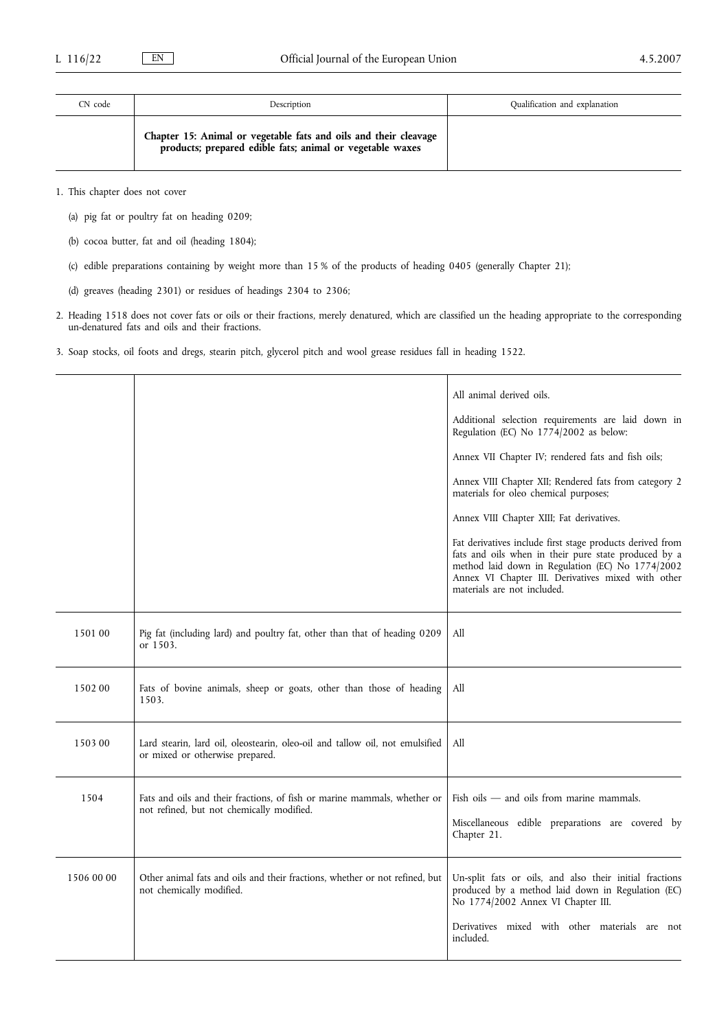| CN code | Description                                                                                                                   | Qualification and explanation |
|---------|-------------------------------------------------------------------------------------------------------------------------------|-------------------------------|
|         | Chapter 15: Animal or vegetable fats and oils and their cleavage<br>products; prepared edible fats; animal or vegetable waxes |                               |

1. This chapter does not cover

- (a) pig fat or poultry fat on heading 0209;
- (b) cocoa butter, fat and oil (heading 1804);
- (c) edible preparations containing by weight more than 15 % of the products of heading 0405 (generally Chapter 21);
- (d) greaves (heading 2301) or residues of headings 2304 to 2306;
- 2. Heading 1518 does not cover fats or oils or their fractions, merely denatured, which are classified un the heading appropriate to the corresponding un-denatured fats and oils and their fractions.
- 3. Soap stocks, oil foots and dregs, stearin pitch, glycerol pitch and wool grease residues fall in heading 1522.

|            |                                                                                                                       | All animal derived oils.                                                                                                                                                                                                                                   |
|------------|-----------------------------------------------------------------------------------------------------------------------|------------------------------------------------------------------------------------------------------------------------------------------------------------------------------------------------------------------------------------------------------------|
|            |                                                                                                                       | Additional selection requirements are laid down in<br>Regulation (EC) No 1774/2002 as below:                                                                                                                                                               |
|            |                                                                                                                       | Annex VII Chapter IV; rendered fats and fish oils;                                                                                                                                                                                                         |
|            |                                                                                                                       | Annex VIII Chapter XII; Rendered fats from category 2<br>materials for oleo chemical purposes;                                                                                                                                                             |
|            |                                                                                                                       | Annex VIII Chapter XIII; Fat derivatives.                                                                                                                                                                                                                  |
|            |                                                                                                                       | Fat derivatives include first stage products derived from<br>fats and oils when in their pure state produced by a<br>method laid down in Regulation (EC) No 1774/2002<br>Annex VI Chapter III. Derivatives mixed with other<br>materials are not included. |
| 1501 00    | Pig fat (including lard) and poultry fat, other than that of heading 0209<br>or 1503.                                 | All                                                                                                                                                                                                                                                        |
| 150200     | Fats of bovine animals, sheep or goats, other than those of heading<br>1503.                                          | All                                                                                                                                                                                                                                                        |
| 1503 00    | Lard stearin, lard oil, oleostearin, oleo-oil and tallow oil, not emulsified<br>or mixed or otherwise prepared.       | All                                                                                                                                                                                                                                                        |
| 1504       | Fats and oils and their fractions, of fish or marine mammals, whether or<br>not refined, but not chemically modified. | Fish oils $-$ and oils from marine mammals.<br>Miscellaneous edible preparations are covered by<br>Chapter 21.                                                                                                                                             |
| 1506 00 00 | Other animal fats and oils and their fractions, whether or not refined, but<br>not chemically modified.               | Un-split fats or oils, and also their initial fractions<br>produced by a method laid down in Regulation (EC)<br>No 1774/2002 Annex VI Chapter III.                                                                                                         |
|            |                                                                                                                       | Derivatives mixed with other materials are not<br>included.                                                                                                                                                                                                |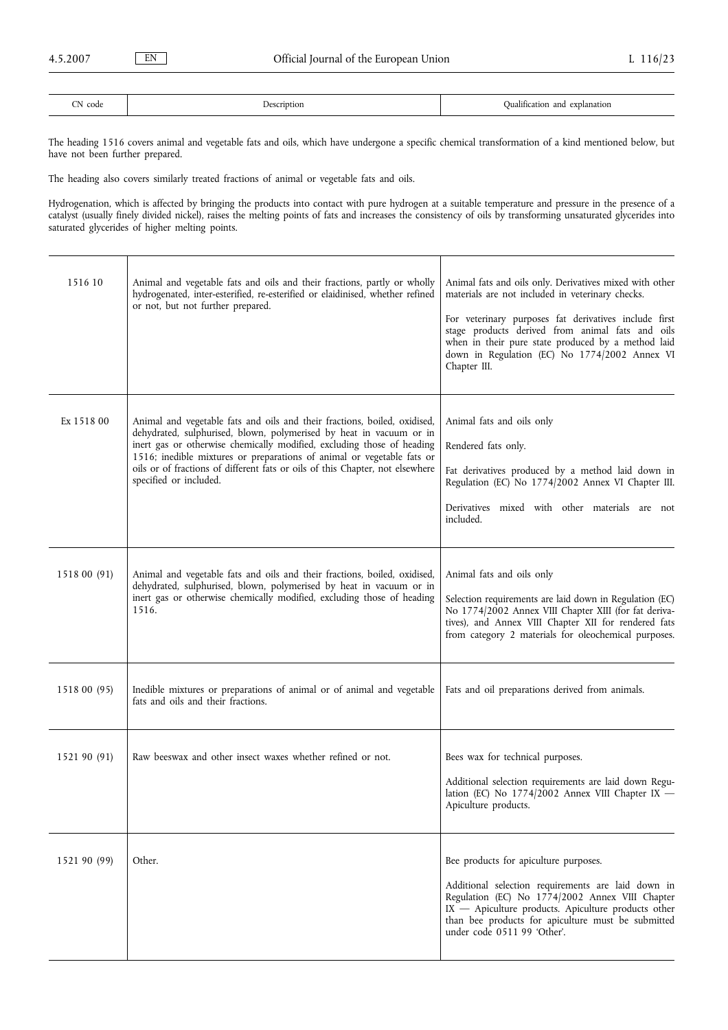| $-1$<br>code<br>N | <b>Jescription</b> | 1.01<br>explanation<br>and<br>Oualification |
|-------------------|--------------------|---------------------------------------------|

The heading 1516 covers animal and vegetable fats and oils, which have undergone a specific chemical transformation of a kind mentioned below, but have not been further prepared.

The heading also covers similarly treated fractions of animal or vegetable fats and oils.

Hydrogenation, which is affected by bringing the products into contact with pure hydrogen at a suitable temperature and pressure in the presence of a catalyst (usually finely divided nickel), raises the melting points of fats and increases the consistency of oils by transforming unsaturated glycerides into saturated glycerides of higher melting points.

| 1516 10      | Animal and vegetable fats and oils and their fractions, partly or wholly<br>hydrogenated, inter-esterified, re-esterified or elaidinised, whether refined<br>or not, but not further prepared.                                                                                                                                                                                                                  | Animal fats and oils only. Derivatives mixed with other<br>materials are not included in veterinary checks.<br>For veterinary purposes fat derivatives include first<br>stage products derived from animal fats and oils<br>when in their pure state produced by a method laid<br>down in Regulation (EC) No 1774/2002 Annex VI<br>Chapter III. |
|--------------|-----------------------------------------------------------------------------------------------------------------------------------------------------------------------------------------------------------------------------------------------------------------------------------------------------------------------------------------------------------------------------------------------------------------|-------------------------------------------------------------------------------------------------------------------------------------------------------------------------------------------------------------------------------------------------------------------------------------------------------------------------------------------------|
| Ex 1518 00   | Animal and vegetable fats and oils and their fractions, boiled, oxidised,<br>dehydrated, sulphurised, blown, polymerised by heat in vacuum or in<br>inert gas or otherwise chemically modified, excluding those of heading<br>1516; inedible mixtures or preparations of animal or vegetable fats or<br>oils or of fractions of different fats or oils of this Chapter, not elsewhere<br>specified or included. | Animal fats and oils only<br>Rendered fats only.<br>Fat derivatives produced by a method laid down in<br>Regulation (EC) No 1774/2002 Annex VI Chapter III.<br>Derivatives mixed with other materials are not<br>included.                                                                                                                      |
| 1518 00 (91) | Animal and vegetable fats and oils and their fractions, boiled, oxidised,<br>dehydrated, sulphurised, blown, polymerised by heat in vacuum or in<br>inert gas or otherwise chemically modified, excluding those of heading<br>1516.                                                                                                                                                                             | Animal fats and oils only<br>Selection requirements are laid down in Regulation (EC)<br>No 1774/2002 Annex VIII Chapter XIII (for fat deriva-<br>tives), and Annex VIII Chapter XII for rendered fats<br>from category 2 materials for oleochemical purposes.                                                                                   |
| 1518 00 (95) | Inedible mixtures or preparations of animal or of animal and vegetable<br>fats and oils and their fractions.                                                                                                                                                                                                                                                                                                    | Fats and oil preparations derived from animals.                                                                                                                                                                                                                                                                                                 |
| 1521 90 (91) | Raw beeswax and other insect waxes whether refined or not.                                                                                                                                                                                                                                                                                                                                                      | Bees wax for technical purposes.<br>Additional selection requirements are laid down Regu-<br>lation (EC) No $1774/2002$ Annex VIII Chapter IX -<br>Apiculture products.                                                                                                                                                                         |
| 1521 90 (99) | Other.                                                                                                                                                                                                                                                                                                                                                                                                          | Bee products for apiculture purposes.<br>Additional selection requirements are laid down in<br>Regulation (EC) No 1774/2002 Annex VIII Chapter<br>IX - Apiculture products. Apiculture products other<br>than bee products for apiculture must be submitted<br>under code 0511 99 'Other'.                                                      |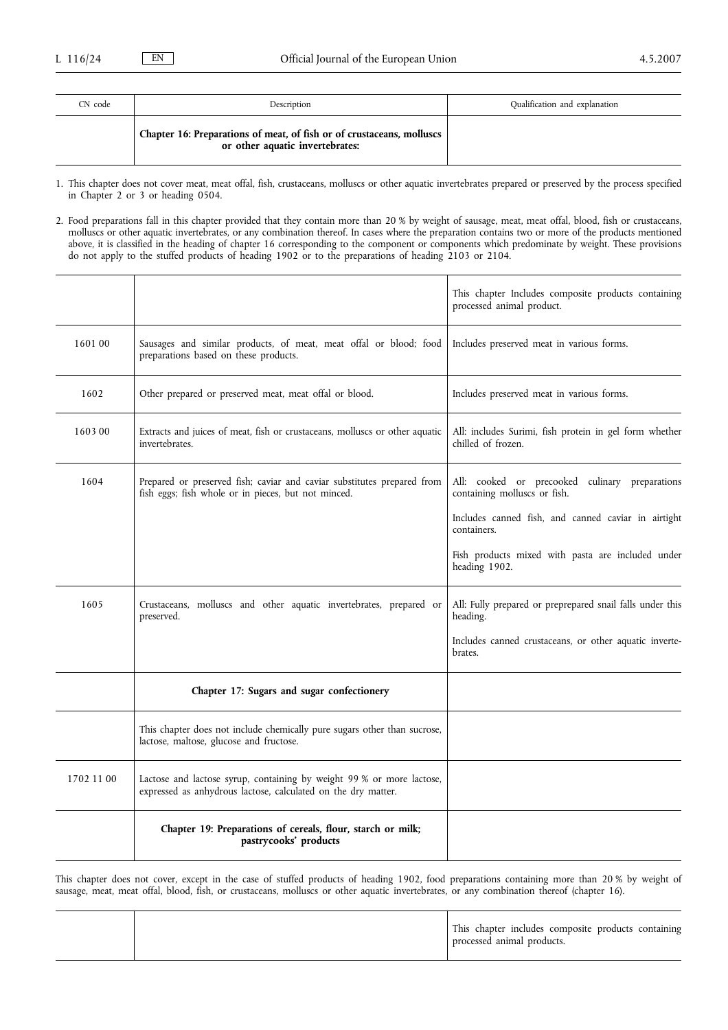| CN code | Description                                                                                              | Qualification and explanation |
|---------|----------------------------------------------------------------------------------------------------------|-------------------------------|
|         | Chapter 16: Preparations of meat, of fish or of crustaceans, molluscs<br>or other aquatic invertebrates: |                               |

1. This chapter does not cover meat, meat offal, fish, crustaceans, molluscs or other aquatic invertebrates prepared or preserved by the process specified in Chapter 2 or 3 or heading 0504.

2. Food preparations fall in this chapter provided that they contain more than 20 % by weight of sausage, meat, meat offal, blood, fish or crustaceans, molluscs or other aquatic invertebrates, or any combination thereof. In cases where the preparation contains two or more of the products mentioned above, it is classified in the heading of chapter 16 corresponding to the component or components which predominate by weight. These provisions do not apply to the stuffed products of heading 1902 or to the preparations of heading 2103 or 2104.

|            |                                                                                                                                        | This chapter Includes composite products containing<br>processed animal product. |
|------------|----------------------------------------------------------------------------------------------------------------------------------------|----------------------------------------------------------------------------------|
| 1601 00    | Sausages and similar products, of meat, meat offal or blood; food<br>preparations based on these products.                             | Includes preserved meat in various forms.                                        |
| 1602       | Other prepared or preserved meat, meat offal or blood.                                                                                 | Includes preserved meat in various forms.                                        |
| 160300     | Extracts and juices of meat, fish or crustaceans, molluscs or other aquatic<br>invertebrates.                                          | All: includes Surimi, fish protein in gel form whether<br>chilled of frozen.     |
| 1604       | Prepared or preserved fish; caviar and caviar substitutes prepared from<br>fish eggs; fish whole or in pieces, but not minced.         | All: cooked or precooked culinary preparations<br>containing molluscs or fish.   |
|            |                                                                                                                                        | Includes canned fish, and canned caviar in airtight<br>containers.               |
|            |                                                                                                                                        | Fish products mixed with pasta are included under<br>heading 1902.               |
| 1605       | Crustaceans, molluscs and other aquatic invertebrates, prepared or<br>preserved.                                                       | All: Fully prepared or preprepared snail falls under this<br>heading.            |
|            |                                                                                                                                        | Includes canned crustaceans, or other aquatic inverte-<br>brates.                |
|            | Chapter 17: Sugars and sugar confectionery                                                                                             |                                                                                  |
|            | This chapter does not include chemically pure sugars other than sucrose,<br>lactose, maltose, glucose and fructose.                    |                                                                                  |
| 1702 11 00 | Lactose and lactose syrup, containing by weight 99 % or more lactose,<br>expressed as anhydrous lactose, calculated on the dry matter. |                                                                                  |
|            | Chapter 19: Preparations of cereals, flour, starch or milk;<br>pastrycooks' products                                                   |                                                                                  |

This chapter does not cover, except in the case of stuffed products of heading 1902, food preparations containing more than 20 % by weight of sausage, meat, meat offal, blood, fish, or crustaceans, molluscs or other aquatic invertebrates, or any combination thereof (chapter 16).

|  |  | This chapter includes composite products containing<br>processed animal products. |
|--|--|-----------------------------------------------------------------------------------|
|--|--|-----------------------------------------------------------------------------------|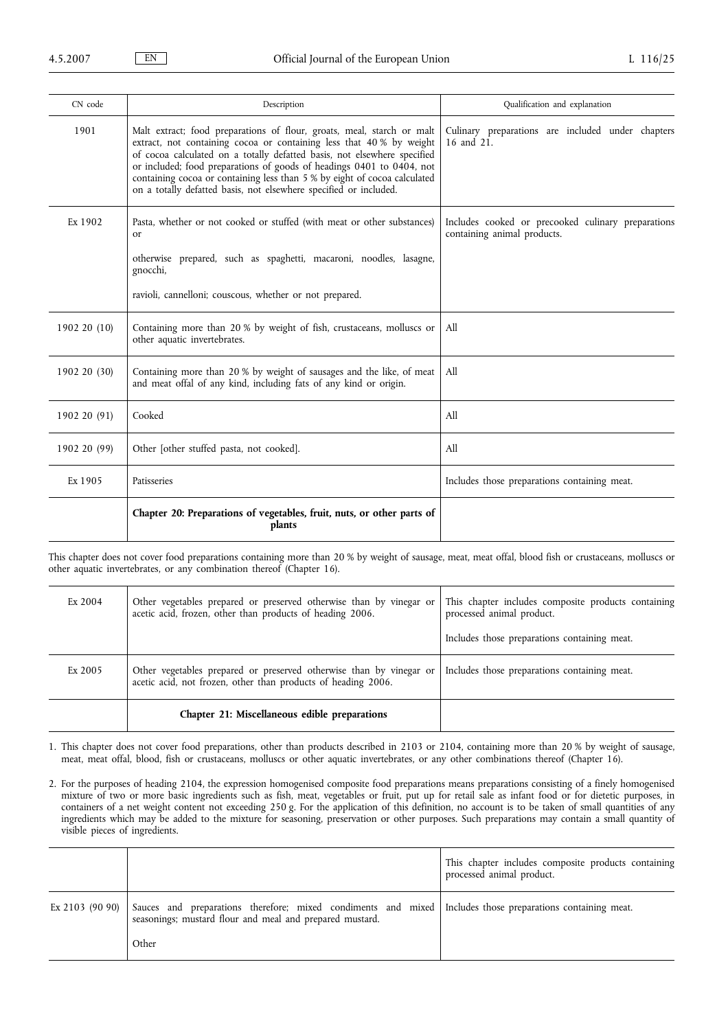| CN code      | Description                                                                                                                                                                                                                                                                                                                                                                                                                                           | Qualification and explanation                                                     |
|--------------|-------------------------------------------------------------------------------------------------------------------------------------------------------------------------------------------------------------------------------------------------------------------------------------------------------------------------------------------------------------------------------------------------------------------------------------------------------|-----------------------------------------------------------------------------------|
| 1901         | Malt extract; food preparations of flour, groats, meal, starch or malt<br>extract, not containing cocoa or containing less that 40 % by weight<br>of cocoa calculated on a totally defatted basis, not elsewhere specified<br>or included; food preparations of goods of headings 0401 to 0404, not<br>containing cocoa or containing less than 5 % by eight of cocoa calculated<br>on a totally defatted basis, not elsewhere specified or included. | Culinary preparations are included under chapters<br>16 and 21.                   |
| Ex 1902      | Pasta, whether or not cooked or stuffed (with meat or other substances)<br><sub>or</sub>                                                                                                                                                                                                                                                                                                                                                              | Includes cooked or precooked culinary preparations<br>containing animal products. |
|              | otherwise prepared, such as spaghetti, macaroni, noodles, lasagne,<br>gnocchi,                                                                                                                                                                                                                                                                                                                                                                        |                                                                                   |
|              | ravioli, cannelloni; couscous, whether or not prepared.                                                                                                                                                                                                                                                                                                                                                                                               |                                                                                   |
| 1902 20 (10) | Containing more than 20 % by weight of fish, crustaceans, molluscs or<br>other aquatic invertebrates.                                                                                                                                                                                                                                                                                                                                                 | All                                                                               |
| 1902 20 (30) | Containing more than 20 % by weight of sausages and the like, of meat<br>and meat offal of any kind, including fats of any kind or origin.                                                                                                                                                                                                                                                                                                            | All                                                                               |
| 1902 20 (91) | Cooked                                                                                                                                                                                                                                                                                                                                                                                                                                                | All                                                                               |
| 1902 20 (99) | Other [other stuffed pasta, not cooked].                                                                                                                                                                                                                                                                                                                                                                                                              | All                                                                               |
| Ex 1905      | Patisseries                                                                                                                                                                                                                                                                                                                                                                                                                                           | Includes those preparations containing meat.                                      |
|              | Chapter 20: Preparations of vegetables, fruit, nuts, or other parts of<br>plants                                                                                                                                                                                                                                                                                                                                                                      |                                                                                   |

This chapter does not cover food preparations containing more than 20 % by weight of sausage, meat, meat offal, blood fish or crustaceans, molluscs or other aquatic invertebrates, or any combination thereof (Chapter 16).

| Ex 2004 | Other vegetables prepared or preserved otherwise than by vinegar or<br>acetic acid, frozen, other than products of heading 2006.     | This chapter includes composite products containing<br>processed animal product.<br>Includes those preparations containing meat. |
|---------|--------------------------------------------------------------------------------------------------------------------------------------|----------------------------------------------------------------------------------------------------------------------------------|
| Ex 2005 | Other vegetables prepared or preserved otherwise than by vinegar or<br>acetic acid, not frozen, other than products of heading 2006. | Includes those preparations containing meat.                                                                                     |
|         | Chapter 21: Miscellaneous edible preparations                                                                                        |                                                                                                                                  |

1. This chapter does not cover food preparations, other than products described in 2103 or 2104, containing more than 20 % by weight of sausage, meat, meat offal, blood, fish or crustaceans, molluscs or other aquatic invertebrates, or any other combinations thereof (Chapter 16).

2. For the purposes of heading 2104, the expression homogenised composite food preparations means preparations consisting of a finely homogenised mixture of two or more basic ingredients such as fish, meat, vegetables or fruit, put up for retail sale as infant food or for dietetic purposes, in containers of a net weight content not exceeding 250 g. For the application of this definition, no account is to be taken of small quantities of any ingredients which may be added to the mixture for seasoning, preservation or other purposes. Such preparations may contain a small quantity of visible pieces of ingredients.

|                   |                                                                                                                                                                                   | This chapter includes composite products containing<br>processed animal product. |
|-------------------|-----------------------------------------------------------------------------------------------------------------------------------------------------------------------------------|----------------------------------------------------------------------------------|
| Ex 2103 $(90 90)$ | Sauces and preparations therefore; mixed condiments and mixed   Includes those preparations containing meat.<br>seasonings; mustard flour and meal and prepared mustard.<br>Other |                                                                                  |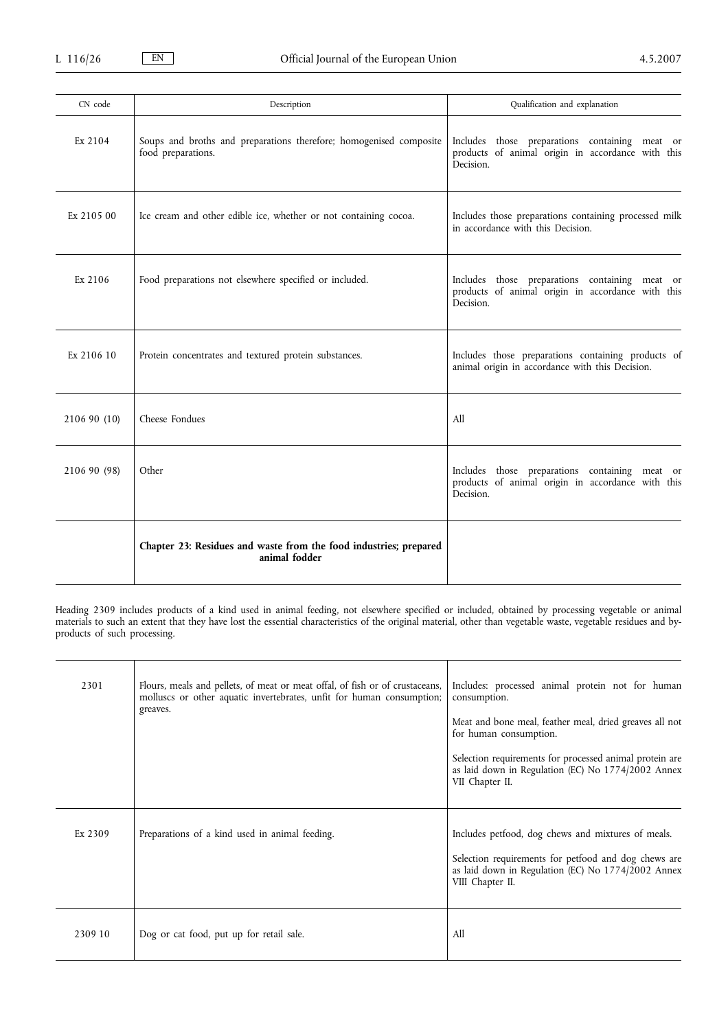| CN code      | Description                                                                              | Qualification and explanation                                                                                    |
|--------------|------------------------------------------------------------------------------------------|------------------------------------------------------------------------------------------------------------------|
| Ex 2104      | Soups and broths and preparations therefore; homogenised composite<br>food preparations. | Includes those preparations containing meat or<br>products of animal origin in accordance with this<br>Decision. |
| Ex 2105 00   | Ice cream and other edible ice, whether or not containing cocoa.                         | Includes those preparations containing processed milk<br>in accordance with this Decision.                       |
| Ex 2106      | Food preparations not elsewhere specified or included.                                   | Includes those preparations containing meat or<br>products of animal origin in accordance with this<br>Decision. |
| Ex 2106 10   | Protein concentrates and textured protein substances.                                    | Includes those preparations containing products of<br>animal origin in accordance with this Decision.            |
| 2106 90 (10) | Cheese Fondues                                                                           | All                                                                                                              |
| 2106 90 (98) | Other                                                                                    | Includes those preparations containing meat or<br>products of animal origin in accordance with this<br>Decision. |
|              | Chapter 23: Residues and waste from the food industries; prepared<br>animal fodder       |                                                                                                                  |

Heading 2309 includes products of a kind used in animal feeding, not elsewhere specified or included, obtained by processing vegetable or animal materials to such an extent that they have lost the essential characteristics of the original material, other than vegetable waste, vegetable residues and byproducts of such processing.

| 2301    | Flours, meals and pellets, of meat or meat offal, of fish or of crustaceans,<br>molluscs or other aquatic invertebrates, unfit for human consumption;<br>greaves. | Includes: processed animal protein not for human<br>consumption.<br>Meat and bone meal, feather meal, dried greaves all not<br>for human consumption.<br>Selection requirements for processed animal protein are<br>as laid down in Regulation (EC) No 1774/2002 Annex<br>VII Chapter II. |
|---------|-------------------------------------------------------------------------------------------------------------------------------------------------------------------|-------------------------------------------------------------------------------------------------------------------------------------------------------------------------------------------------------------------------------------------------------------------------------------------|
| Ex 2309 | Preparations of a kind used in animal feeding.                                                                                                                    | Includes petfood, dog chews and mixtures of meals.<br>Selection requirements for petfood and dog chews are<br>as laid down in Regulation (EC) No 1774/2002 Annex<br>VIII Chapter II.                                                                                                      |
| 2309 10 | Dog or cat food, put up for retail sale.                                                                                                                          | A11                                                                                                                                                                                                                                                                                       |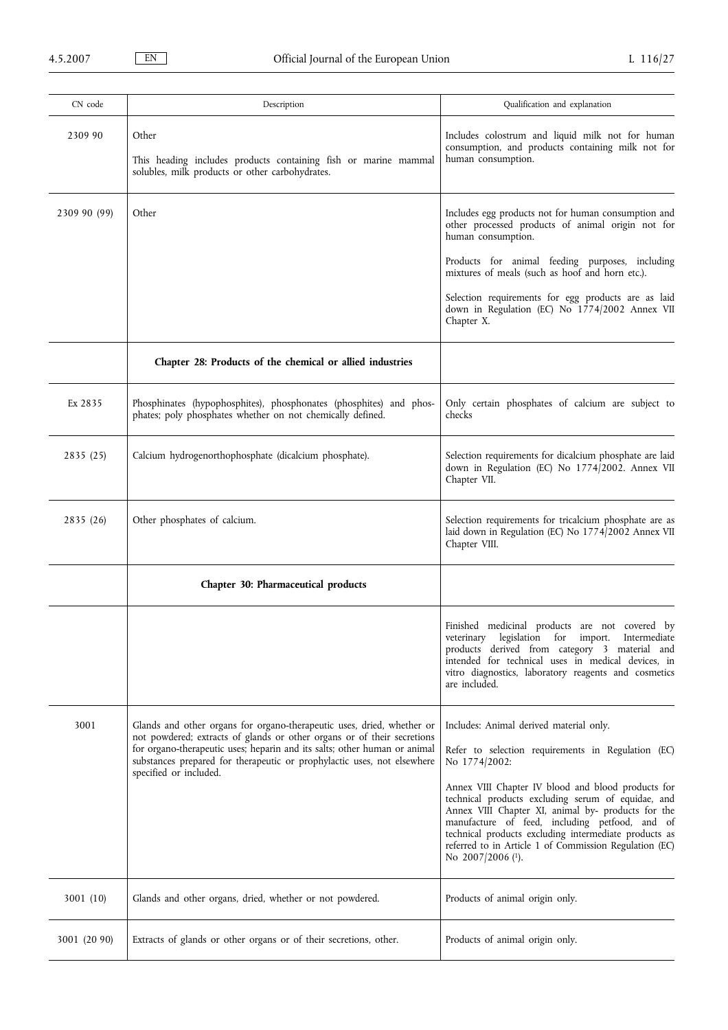| CN code      | Description                                                                                                                                                                                                                                                                                               | Qualification and explanation                                                                                                                                                                                                                                                                                                                                           |
|--------------|-----------------------------------------------------------------------------------------------------------------------------------------------------------------------------------------------------------------------------------------------------------------------------------------------------------|-------------------------------------------------------------------------------------------------------------------------------------------------------------------------------------------------------------------------------------------------------------------------------------------------------------------------------------------------------------------------|
| 2309 90      | Other<br>This heading includes products containing fish or marine mammal<br>solubles, milk products or other carbohydrates.                                                                                                                                                                               | Includes colostrum and liquid milk not for human<br>consumption, and products containing milk not for<br>human consumption.                                                                                                                                                                                                                                             |
| 2309 90 (99) | Other                                                                                                                                                                                                                                                                                                     | Includes egg products not for human consumption and<br>other processed products of animal origin not for<br>human consumption.                                                                                                                                                                                                                                          |
|              |                                                                                                                                                                                                                                                                                                           | Products for animal feeding purposes, including<br>mixtures of meals (such as hoof and horn etc.).                                                                                                                                                                                                                                                                      |
|              |                                                                                                                                                                                                                                                                                                           | Selection requirements for egg products are as laid<br>down in Regulation (EC) No 1774/2002 Annex VII<br>Chapter X.                                                                                                                                                                                                                                                     |
|              | Chapter 28: Products of the chemical or allied industries                                                                                                                                                                                                                                                 |                                                                                                                                                                                                                                                                                                                                                                         |
| Ex 2835      | Phosphinates (hypophosphites), phosphonates (phosphites) and phos-<br>phates; poly phosphates whether on not chemically defined.                                                                                                                                                                          | Only certain phosphates of calcium are subject to<br>checks                                                                                                                                                                                                                                                                                                             |
| 2835 (25)    | Calcium hydrogenorthophosphate (dicalcium phosphate).                                                                                                                                                                                                                                                     | Selection requirements for dicalcium phosphate are laid<br>down in Regulation (EC) No 1774/2002. Annex VII<br>Chapter VII.                                                                                                                                                                                                                                              |
| 2835(26)     | Other phosphates of calcium.                                                                                                                                                                                                                                                                              | Selection requirements for tricalcium phosphate are as<br>laid down in Regulation (EC) No 1774/2002 Annex VII<br>Chapter VIII.                                                                                                                                                                                                                                          |
|              | Chapter 30: Pharmaceutical products                                                                                                                                                                                                                                                                       |                                                                                                                                                                                                                                                                                                                                                                         |
|              |                                                                                                                                                                                                                                                                                                           | Finished medicinal products are not covered by<br>veterinary legislation for import. Intermediate<br>products derived from category 3 material and<br>intended for technical uses in medical devices, in<br>vitro diagnostics, laboratory reagents and cosmetics<br>are included.                                                                                       |
| 3001         | Glands and other organs for organo-therapeutic uses, dried, whether or<br>not powdered; extracts of glands or other organs or of their secretions<br>for organo-therapeutic uses; heparin and its salts; other human or animal<br>substances prepared for therapeutic or prophylactic uses, not elsewhere | Includes: Animal derived material only.<br>Refer to selection requirements in Regulation (EC)<br>No 1774/2002:                                                                                                                                                                                                                                                          |
|              | specified or included.                                                                                                                                                                                                                                                                                    | Annex VIII Chapter IV blood and blood products for<br>technical products excluding serum of equidae, and<br>Annex VIII Chapter XI, animal by- products for the<br>manufacture of feed, including petfood, and of<br>technical products excluding intermediate products as<br>referred to in Article 1 of Commission Regulation (EC)<br>No $2007/2006$ ( <sup>1</sup> ). |
| 3001 (10)    | Glands and other organs, dried, whether or not powdered.                                                                                                                                                                                                                                                  | Products of animal origin only.                                                                                                                                                                                                                                                                                                                                         |
| 3001 (20 90) | Extracts of glands or other organs or of their secretions, other.                                                                                                                                                                                                                                         | Products of animal origin only.                                                                                                                                                                                                                                                                                                                                         |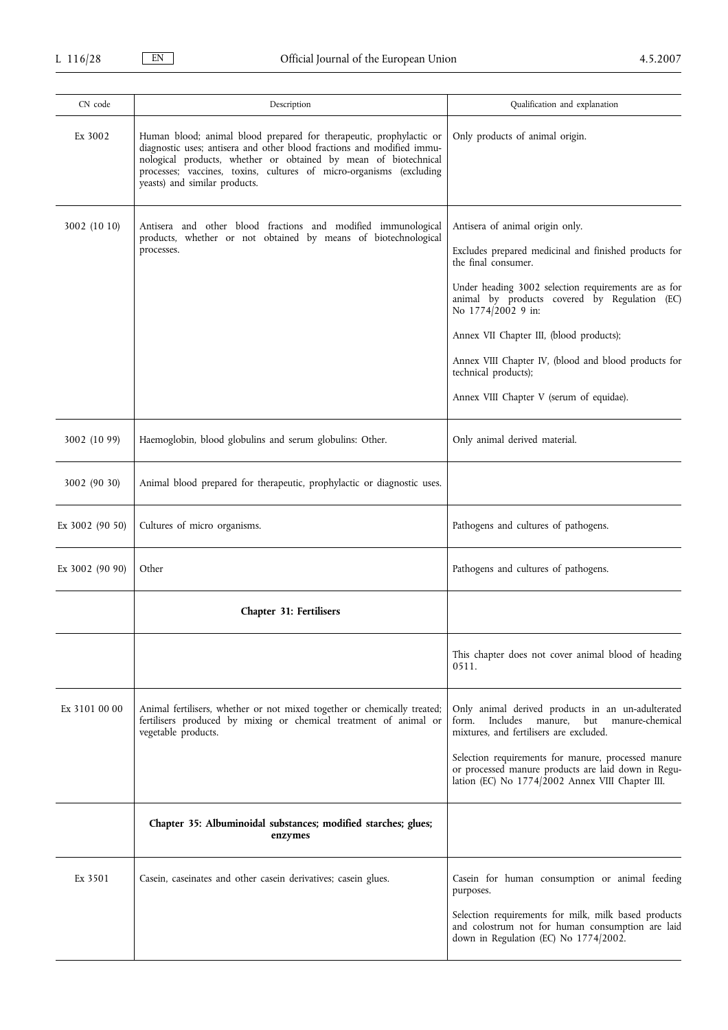| CN code         | Description                                                                                                                                                                                                                                                                                                              | Qualification and explanation                                                                                                                                                                                                                                                                                                                                                                                          |
|-----------------|--------------------------------------------------------------------------------------------------------------------------------------------------------------------------------------------------------------------------------------------------------------------------------------------------------------------------|------------------------------------------------------------------------------------------------------------------------------------------------------------------------------------------------------------------------------------------------------------------------------------------------------------------------------------------------------------------------------------------------------------------------|
| Ex 3002         | Human blood; animal blood prepared for therapeutic, prophylactic or<br>diagnostic uses; antisera and other blood fractions and modified immu-<br>nological products, whether or obtained by mean of biotechnical<br>processes; vaccines, toxins, cultures of micro-organisms (excluding<br>yeasts) and similar products. | Only products of animal origin.                                                                                                                                                                                                                                                                                                                                                                                        |
| 3002 (10 10)    | Antisera and other blood fractions and modified immunological<br>products, whether or not obtained by means of biotechnological<br>processes.                                                                                                                                                                            | Antisera of animal origin only.<br>Excludes prepared medicinal and finished products for<br>the final consumer.<br>Under heading 3002 selection requirements are as for<br>animal by products covered by Regulation (EC)<br>No 1774/2002 9 in:<br>Annex VII Chapter III, (blood products);<br>Annex VIII Chapter IV, (blood and blood products for<br>technical products);<br>Annex VIII Chapter V (serum of equidae). |
| 3002 (10 99)    | Haemoglobin, blood globulins and serum globulins: Other.                                                                                                                                                                                                                                                                 | Only animal derived material.                                                                                                                                                                                                                                                                                                                                                                                          |
| 3002 (90 30)    | Animal blood prepared for therapeutic, prophylactic or diagnostic uses.                                                                                                                                                                                                                                                  |                                                                                                                                                                                                                                                                                                                                                                                                                        |
| Ex 3002 (90 50) | Cultures of micro organisms.                                                                                                                                                                                                                                                                                             | Pathogens and cultures of pathogens.                                                                                                                                                                                                                                                                                                                                                                                   |
| Ex 3002 (90 90) | Other                                                                                                                                                                                                                                                                                                                    | Pathogens and cultures of pathogens.                                                                                                                                                                                                                                                                                                                                                                                   |
|                 | Chapter 31: Fertilisers                                                                                                                                                                                                                                                                                                  |                                                                                                                                                                                                                                                                                                                                                                                                                        |
|                 |                                                                                                                                                                                                                                                                                                                          | This chapter does not cover animal blood of heading<br>0511.                                                                                                                                                                                                                                                                                                                                                           |
| Ex 3101 00 00   | Animal fertilisers, whether or not mixed together or chemically treated;<br>fertilisers produced by mixing or chemical treatment of animal or<br>vegetable products.                                                                                                                                                     | Only animal derived products in an un-adulterated<br>manure,<br>form.<br>Includes<br>but<br>manure-chemical<br>mixtures, and fertilisers are excluded.<br>Selection requirements for manure, processed manure<br>or processed manure products are laid down in Regu-<br>lation (EC) No 1774/2002 Annex VIII Chapter III.                                                                                               |
|                 | Chapter 35: Albuminoidal substances; modified starches; glues;<br>enzymes                                                                                                                                                                                                                                                |                                                                                                                                                                                                                                                                                                                                                                                                                        |
| Ex 3501         | Casein, caseinates and other casein derivatives; casein glues.                                                                                                                                                                                                                                                           | Casein for human consumption or animal feeding<br>purposes.<br>Selection requirements for milk, milk based products<br>and colostrum not for human consumption are laid<br>down in Regulation (EC) No 1774/2002.                                                                                                                                                                                                       |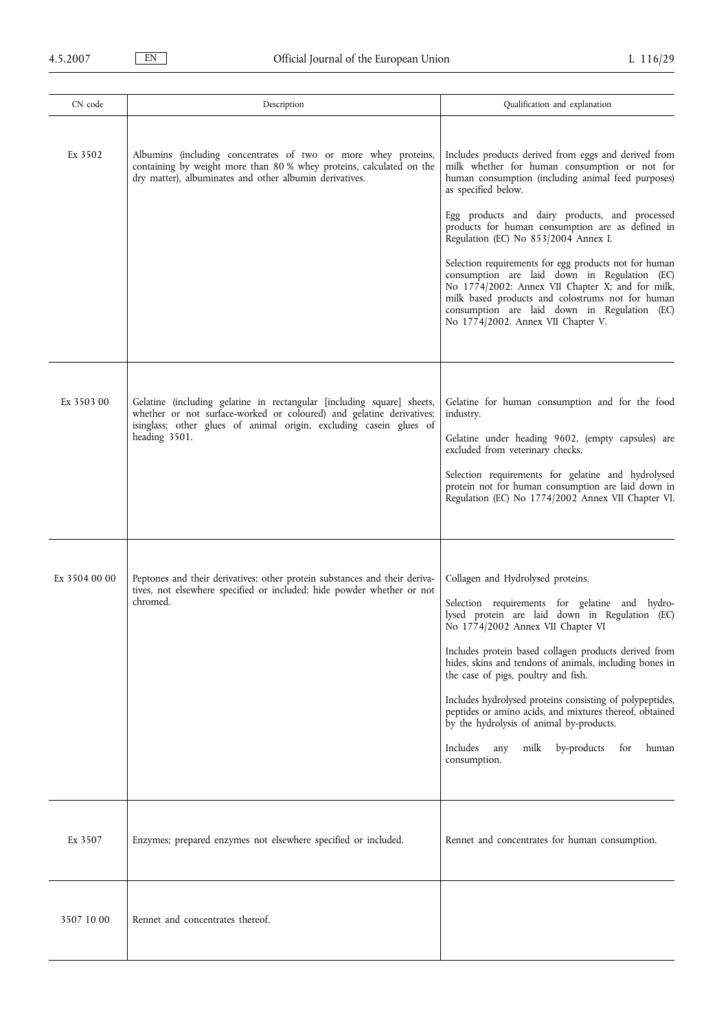| CN code       | Description                                                                                                                                                                                                                           | Qualification and explanation                                                                                                                                                                                                                                                                                                                                                                                                                                                                                                                                                      |
|---------------|---------------------------------------------------------------------------------------------------------------------------------------------------------------------------------------------------------------------------------------|------------------------------------------------------------------------------------------------------------------------------------------------------------------------------------------------------------------------------------------------------------------------------------------------------------------------------------------------------------------------------------------------------------------------------------------------------------------------------------------------------------------------------------------------------------------------------------|
| Ex 3502       | Albumins (including concentrates of two or more whey proteins,<br>containing by weight more than 80 % whey proteins, calculated on the<br>dry matter), albuminates and other albumin derivatives.                                     | Includes products derived from eggs and derived from<br>milk whether for human consumption or not for<br>human consumption (including animal feed purposes)<br>as specified below.<br>Egg products and dairy products, and processed<br>products for human consumption are as defined in<br>Regulation (EC) No 853/2004 Annex I.<br>Selection requirements for egg products not for human<br>consumption are laid down in Regulation (EC)                                                                                                                                          |
|               |                                                                                                                                                                                                                                       | No 1774/2002: Annex VII Chapter X; and for milk,<br>milk based products and colostrums not for human<br>consumption are laid down in Regulation (EC)<br>No 1774/2002. Annex VII Chapter V.                                                                                                                                                                                                                                                                                                                                                                                         |
| Ex 3503 00    | Gelatine (including gelatine in rectangular [including square] sheets,<br>whether or not surface-worked or coloured) and gelatine derivatives;<br>isinglass; other glues of animal origin, excluding casein glues of<br>heading 3501. | Gelatine for human consumption and for the food<br>industry.<br>Gelatine under heading 9602, (empty capsules) are<br>excluded from veterinary checks.                                                                                                                                                                                                                                                                                                                                                                                                                              |
|               |                                                                                                                                                                                                                                       | Selection requirements for gelatine and hydrolysed<br>protein not for human consumption are laid down in<br>Regulation (EC) No 1774/2002 Annex VII Chapter VI.                                                                                                                                                                                                                                                                                                                                                                                                                     |
| Ex 3504 00 00 | Peptones and their derivatives; other protein substances and their deriva-<br>tives, not elsewhere specified or included; hide powder whether or not<br>chromed.                                                                      | Collagen and Hydrolysed proteins.<br>Selection requirements for gelatine and hydro-<br>lysed protein are laid down in Regulation (EC)<br>No 1774/2002 Annex VII Chapter VI<br>Includes protein based collagen products derived from<br>hides, skins and tendons of animals, including bones in<br>the case of pigs, poultry and fish.<br>Includes hydrolysed proteins consisting of polypeptides,<br>peptides or amino acids, and mixtures thereof, obtained<br>by the hydrolysis of animal by-products.<br>Includes<br>milk<br>by-products<br>for<br>human<br>any<br>consumption. |
| Ex 3507       | Enzymes; prepared enzymes not elsewhere specified or included.                                                                                                                                                                        | Rennet and concentrates for human consumption.                                                                                                                                                                                                                                                                                                                                                                                                                                                                                                                                     |
| 3507 10 00    | Rennet and concentrates thereof.                                                                                                                                                                                                      |                                                                                                                                                                                                                                                                                                                                                                                                                                                                                                                                                                                    |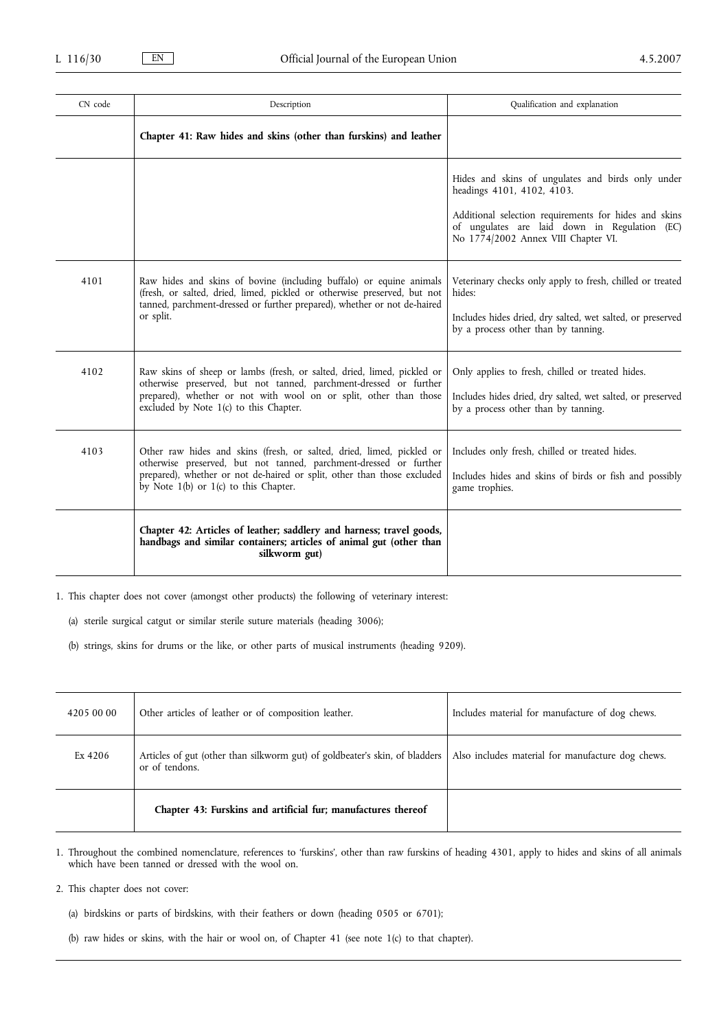| CN code | Description                                                                                                                                                                                                                                                        | Qualification and explanation                                                                                                                                                                                                    |
|---------|--------------------------------------------------------------------------------------------------------------------------------------------------------------------------------------------------------------------------------------------------------------------|----------------------------------------------------------------------------------------------------------------------------------------------------------------------------------------------------------------------------------|
|         | Chapter 41: Raw hides and skins (other than furskins) and leather                                                                                                                                                                                                  |                                                                                                                                                                                                                                  |
|         |                                                                                                                                                                                                                                                                    | Hides and skins of ungulates and birds only under<br>headings 4101, 4102, 4103.<br>Additional selection requirements for hides and skins<br>of ungulates are laid down in Regulation (EC)<br>No 1774/2002 Annex VIII Chapter VI. |
| 4101    | Raw hides and skins of bovine (including buffalo) or equine animals<br>(fresh, or salted, dried, limed, pickled or otherwise preserved, but not<br>tanned, parchment-dressed or further prepared), whether or not de-haired<br>or split.                           | Veterinary checks only apply to fresh, chilled or treated<br>hides:<br>Includes hides dried, dry salted, wet salted, or preserved<br>by a process other than by tanning.                                                         |
| 4102    | Raw skins of sheep or lambs (fresh, or salted, dried, limed, pickled or<br>otherwise preserved, but not tanned, parchment-dressed or further<br>prepared), whether or not with wool on or split, other than those<br>excluded by Note 1(c) to this Chapter.        | Only applies to fresh, chilled or treated hides.<br>Includes hides dried, dry salted, wet salted, or preserved<br>by a process other than by tanning.                                                                            |
| 4103    | Other raw hides and skins (fresh, or salted, dried, limed, pickled or<br>otherwise preserved, but not tanned, parchment-dressed or further<br>prepared), whether or not de-haired or split, other than those excluded<br>by Note $1(b)$ or $1(c)$ to this Chapter. | Includes only fresh, chilled or treated hides.<br>Includes hides and skins of birds or fish and possibly<br>game trophies.                                                                                                       |
|         | Chapter 42: Articles of leather; saddlery and harness; travel goods,<br>handbags and similar containers; articles of animal gut (other than<br>silkworm gut)                                                                                                       |                                                                                                                                                                                                                                  |

1. This chapter does not cover (amongst other products) the following of veterinary interest:

(a) sterile surgical catgut or similar sterile suture materials (heading 3006);

(b) strings, skins for drums or the like, or other parts of musical instruments (heading 9209).

| 4205 00 00 | Other articles of leather or of composition leather.                                          | Includes material for manufacture of dog chews.   |
|------------|-----------------------------------------------------------------------------------------------|---------------------------------------------------|
| Ex 4206    | Articles of gut (other than silkworm gut) of goldbeater's skin, of bladders<br>or of tendons. | Also includes material for manufacture dog chews. |
|            | Chapter 43: Furskins and artificial fur; manufactures thereof                                 |                                                   |

1. Throughout the combined nomenclature, references to 'furskins', other than raw furskins of heading 4301, apply to hides and skins of all animals which have been tanned or dressed with the wool on.

2. This chapter does not cover:

- (a) birdskins or parts of birdskins, with their feathers or down (heading 0505 or 6701);
- (b) raw hides or skins, with the hair or wool on, of Chapter 41 (see note 1(c) to that chapter).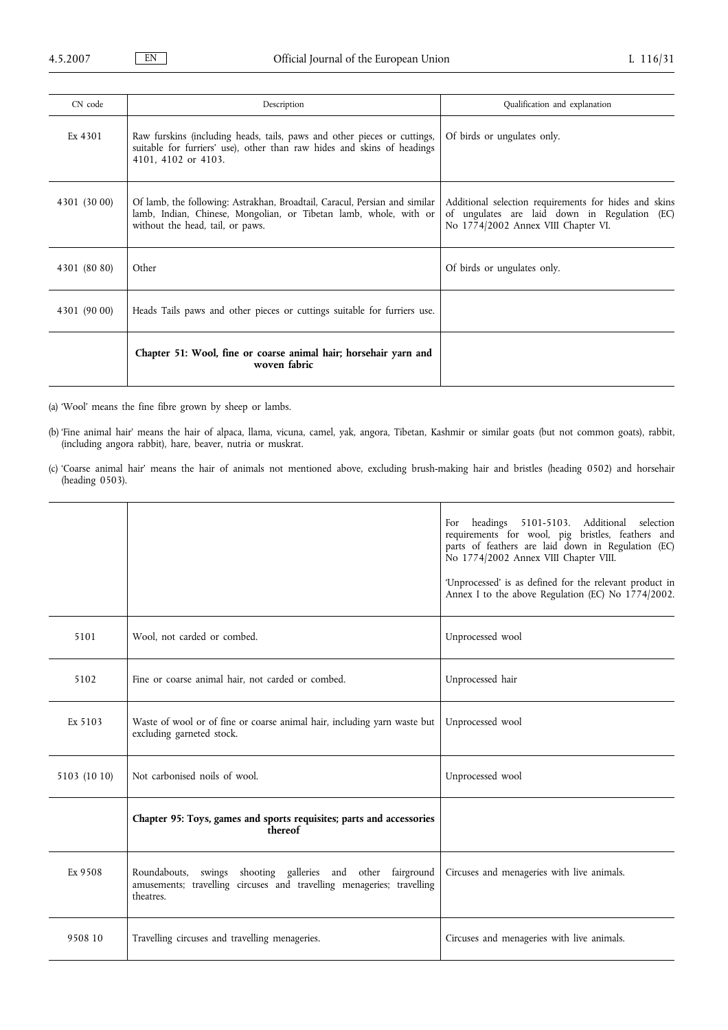| CN code      | Description                                                                                                                                                                         | Qualification and explanation                                                                                                                 |
|--------------|-------------------------------------------------------------------------------------------------------------------------------------------------------------------------------------|-----------------------------------------------------------------------------------------------------------------------------------------------|
| Ex 4301      | Raw furskins (including heads, tails, paws and other pieces or cuttings,<br>suitable for furriers' use), other than raw hides and skins of headings<br>4101, 4102 or 4103.          | Of birds or ungulates only.                                                                                                                   |
| 4301 (30 00) | Of lamb, the following: Astrakhan, Broadtail, Caracul, Persian and similar<br>lamb, Indian, Chinese, Mongolian, or Tibetan lamb, whole, with or<br>without the head, tail, or paws. | Additional selection requirements for hides and skins<br>of ungulates are laid down in Regulation (EC)<br>No 1774/2002 Annex VIII Chapter VI. |
| 4301 (80 80) | Other                                                                                                                                                                               | Of birds or ungulates only.                                                                                                                   |
| 4301 (90 00) | Heads Tails paws and other pieces or cuttings suitable for furriers use.                                                                                                            |                                                                                                                                               |
|              | Chapter 51: Wool, fine or coarse animal hair; horsehair yarn and<br>woven fabric                                                                                                    |                                                                                                                                               |

(a) 'Wool' means the fine fibre grown by sheep or lambs.

(b) 'Fine animal hair' means the hair of alpaca, llama, vicuna, camel, yak, angora, Tibetan, Kashmir or similar goats (but not common goats), rabbit, (including angora rabbit), hare, beaver, nutria or muskrat.

(c) 'Coarse animal hair' means the hair of animals not mentioned above, excluding brush-making hair and bristles (heading 0502) and horsehair (heading 0503).

|              |                                                                                                                                                   | headings 5101-5103. Additional selection<br>For<br>requirements for wool, pig bristles, feathers and<br>parts of feathers are laid down in Regulation (EC)<br>No 1774/2002 Annex VIII Chapter VIII.<br>'Unprocessed' is as defined for the relevant product in<br>Annex I to the above Regulation (EC) No 1774/2002. |
|--------------|---------------------------------------------------------------------------------------------------------------------------------------------------|----------------------------------------------------------------------------------------------------------------------------------------------------------------------------------------------------------------------------------------------------------------------------------------------------------------------|
| 5101         | Wool, not carded or combed.                                                                                                                       | Unprocessed wool                                                                                                                                                                                                                                                                                                     |
| 5102         | Fine or coarse animal hair, not carded or combed.                                                                                                 | Unprocessed hair                                                                                                                                                                                                                                                                                                     |
| Ex 5103      | Waste of wool or of fine or coarse animal hair, including yarn waste but<br>excluding garneted stock.                                             | Unprocessed wool                                                                                                                                                                                                                                                                                                     |
| 5103 (10 10) | Not carbonised noils of wool.                                                                                                                     | Unprocessed wool                                                                                                                                                                                                                                                                                                     |
|              | Chapter 95: Toys, games and sports requisites; parts and accessories<br>thereof                                                                   |                                                                                                                                                                                                                                                                                                                      |
| Ex 9508      | Roundabouts, swings shooting galleries and other fairground<br>amusements; travelling circuses and travelling menageries; travelling<br>theatres. | Circuses and menageries with live animals.                                                                                                                                                                                                                                                                           |
| 9508 10      | Travelling circuses and travelling menageries.                                                                                                    | Circuses and menageries with live animals.                                                                                                                                                                                                                                                                           |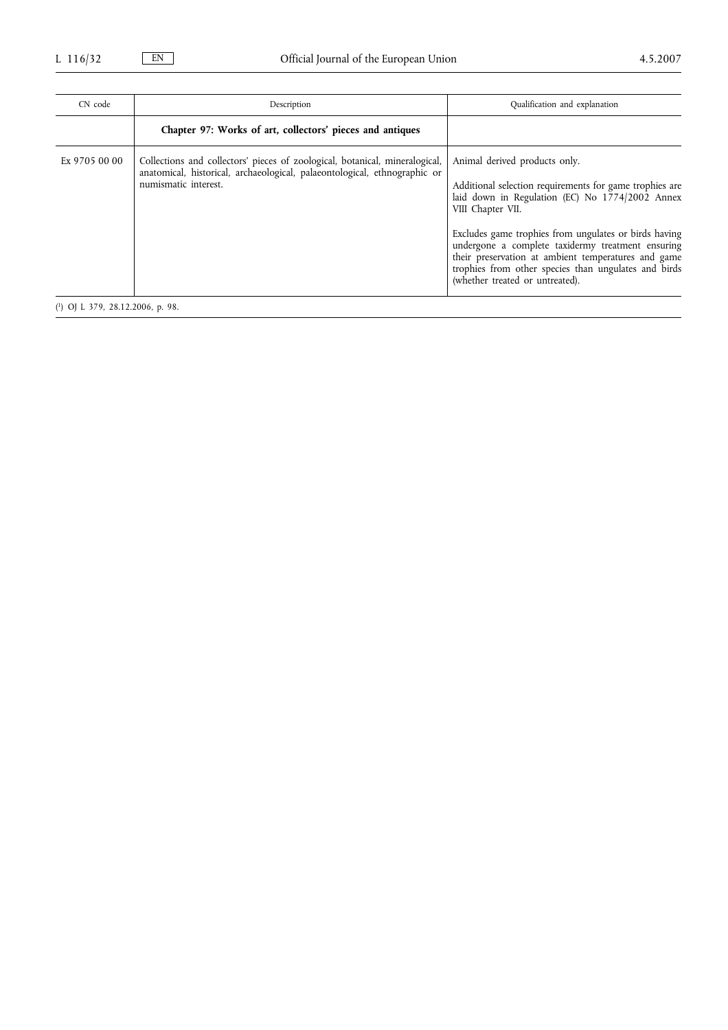| CN code                            | Description                                                                                                                                                                      | Qualification and explanation                                                                                                                                                                                                                                                                                                                                                                                                    |
|------------------------------------|----------------------------------------------------------------------------------------------------------------------------------------------------------------------------------|----------------------------------------------------------------------------------------------------------------------------------------------------------------------------------------------------------------------------------------------------------------------------------------------------------------------------------------------------------------------------------------------------------------------------------|
|                                    | Chapter 97: Works of art, collectors' pieces and antiques                                                                                                                        |                                                                                                                                                                                                                                                                                                                                                                                                                                  |
| Ex 9705 00 00                      | Collections and collectors' pieces of zoological, botanical, mineralogical,<br>anatomical, historical, archaeological, palaeontological, ethnographic or<br>numismatic interest. | Animal derived products only.<br>Additional selection requirements for game trophies are<br>laid down in Regulation (EC) No 1774/2002 Annex<br>VIII Chapter VII.<br>Excludes game trophies from ungulates or birds having<br>undergone a complete taxidermy treatment ensuring<br>their preservation at ambient temperatures and game<br>trophies from other species than ungulates and birds<br>(whether treated or untreated). |
| $(1)$ OJ L 379, 28.12.2006, p. 98. |                                                                                                                                                                                  |                                                                                                                                                                                                                                                                                                                                                                                                                                  |